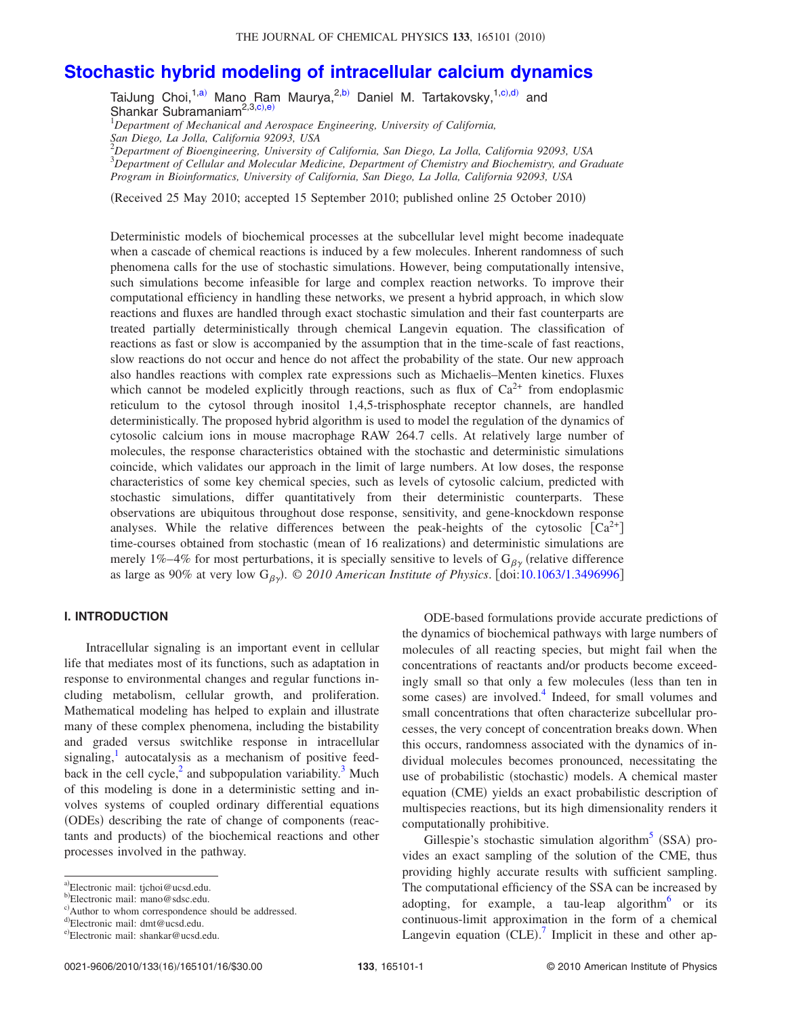# **[Stochastic hybrid modeling of intracellular calcium dynamics](http://dx.doi.org/10.1063/1.3496996)**

TaiJung Choi,<sup>1[,a](#page-0-0))</sup> Mano Ram Maurya,<sup>2[,b](#page-0-1))</sup> Daniel M. Tartakovsky,<sup>1[,c](#page-0-2))[,d](#page-0-3))</sup> and Shankar Subramaniam<sup>2,3[,c](#page-0-2))[,e](#page-0-4))</sup>

1 *Department of Mechanical and Aerospace Engineering, University of California, San Diego, La Jolla, California 92093, USA*

2 *Department of Bioengineering, University of California, San Diego, La Jolla, California 92093, USA* 3 *Department of Cellular and Molecular Medicine, Department of Chemistry and Biochemistry, and Graduate*

*Program in Bioinformatics, University of California, San Diego, La Jolla, California 92093, USA*

(Received 25 May 2010; accepted 15 September 2010; published online 25 October 2010)

Deterministic models of biochemical processes at the subcellular level might become inadequate when a cascade of chemical reactions is induced by a few molecules. Inherent randomness of such phenomena calls for the use of stochastic simulations. However, being computationally intensive, such simulations become infeasible for large and complex reaction networks. To improve their computational efficiency in handling these networks, we present a hybrid approach, in which slow reactions and fluxes are handled through exact stochastic simulation and their fast counterparts are treated partially deterministically through chemical Langevin equation. The classification of reactions as fast or slow is accompanied by the assumption that in the time-scale of fast reactions, slow reactions do not occur and hence do not affect the probability of the state. Our new approach also handles reactions with complex rate expressions such as Michaelis–Menten kinetics. Fluxes which cannot be modeled explicitly through reactions, such as flux of  $Ca^{2+}$  from endoplasmic reticulum to the cytosol through inositol 1,4,5-trisphosphate receptor channels, are handled deterministically. The proposed hybrid algorithm is used to model the regulation of the dynamics of cytosolic calcium ions in mouse macrophage RAW 264.7 cells. At relatively large number of molecules, the response characteristics obtained with the stochastic and deterministic simulations coincide, which validates our approach in the limit of large numbers. At low doses, the response characteristics of some key chemical species, such as levels of cytosolic calcium, predicted with stochastic simulations, differ quantitatively from their deterministic counterparts. These observations are ubiquitous throughout dose response, sensitivity, and gene-knockdown response analyses. While the relative differences between the peak-heights of the cytosolic  $\lceil Ca^{2+} \rceil$ time-courses obtained from stochastic (mean of 16 realizations) and deterministic simulations are merely 1%–4% for most perturbations, it is specially sensitive to levels of  $G_{\beta\nu}$  (relative difference as large as 90% at very low  $G_{\beta\gamma}$ . © *2010 American Institute of Physics*. [doi[:10.1063/1.3496996](http://dx.doi.org/10.1063/1.3496996)]

#### **I. INTRODUCTION**

Intracellular signaling is an important event in cellular life that mediates most of its functions, such as adaptation in response to environmental changes and regular functions including metabolism, cellular growth, and proliferation. Mathematical modeling has helped to explain and illustrate many of these complex phenomena, including the bistability and graded versus switchlike response in intracellular signaling, $\frac{1}{x}$  autocatalysis as a mechanism of positive feedback in the cell cycle, $^{2}$  and subpopulation variability.<sup>3</sup> Much of this modeling is done in a deterministic setting and involves systems of coupled ordinary differential equations (ODEs) describing the rate of change of components (reactants and products) of the biochemical reactions and other processes involved in the pathway.

ODE-based formulations provide accurate predictions of the dynamics of biochemical pathways with large numbers of molecules of all reacting species, but might fail when the concentrations of reactants and/or products become exceedingly small so that only a few molecules (less than ten in some cases) are involved. $4$  Indeed, for small volumes and small concentrations that often characterize subcellular processes, the very concept of concentration breaks down. When this occurs, randomness associated with the dynamics of individual molecules becomes pronounced, necessitating the use of probabilistic (stochastic) models. A chemical master equation (CME) yields an exact probabilistic description of multispecies reactions, but its high dimensionality renders it computationally prohibitive.

Gillespie's stochastic simulation algorithm<sup>5</sup> (SSA) provides an exact sampling of the solution of the CME, thus providing highly accurate results with sufficient sampling. The computational efficiency of the SSA can be increased by adopting, for example, a tau-leap algorithm $6$  or its continuous-limit approximation in the form of a chemical Langevin equation  $(CLE)$ .<sup>[7](#page-15-6)</sup> Implicit in these and other ap-

<span id="page-0-0"></span>a)Electronic mail: tjchoi@ucsd.edu.

<span id="page-0-1"></span>b" Electronic mail: mano@sdsc.edu.

<span id="page-0-2"></span>c) Author to whom correspondence should be addressed.

<span id="page-0-3"></span>d" Electronic mail: dmt@ucsd.edu.

<span id="page-0-4"></span>e)Electronic mail: shankar@ucsd.edu.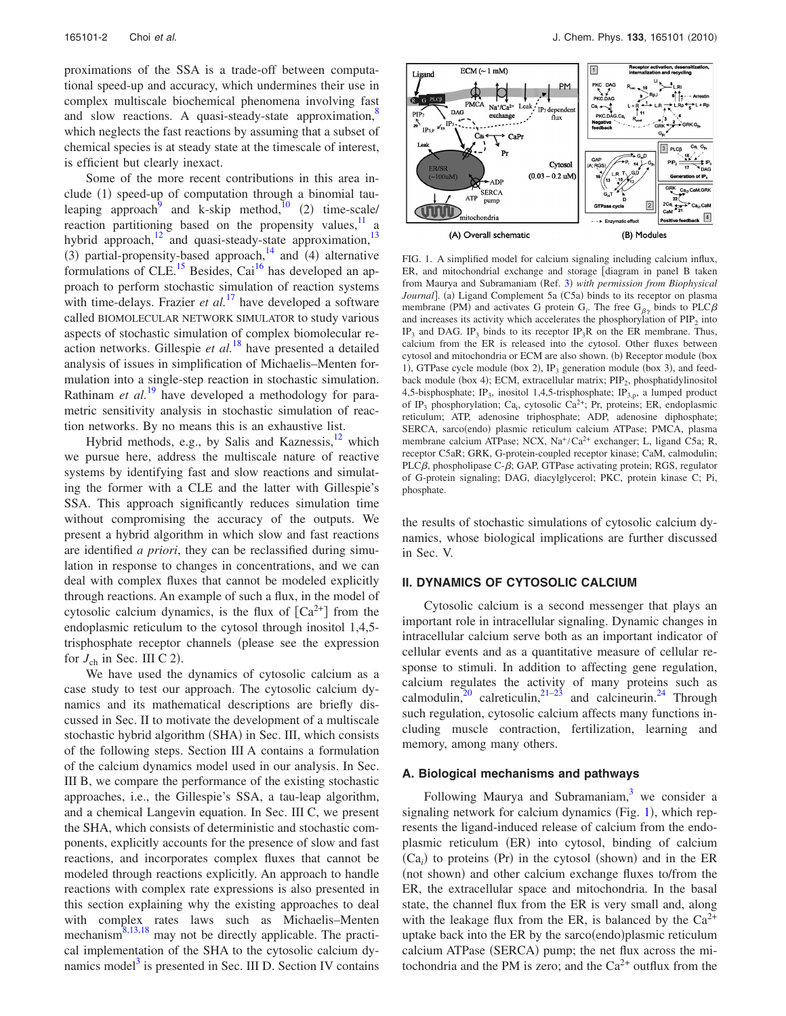proximations of the SSA is a trade-off between computational speed-up and accuracy, which undermines their use in complex multiscale biochemical phenomena involving fast and slow reactions. A quasi-steady-state approximation, $\frac{8}{3}$ which neglects the fast reactions by assuming that a subset of chemical species is at steady state at the timescale of interest, is efficient but clearly inexact.

Some of the more recent contributions in this area include  $(1)$  speed-up of computation through a binomial tauleaping approach<sup>9</sup> and k-skip method,<sup>10</sup> (2) time-scale/ reaction partitioning based on the propensity values, $\frac{11}{11}$  a hybrid approach, $^{12}$  and quasi-steady-state approximation, $^{13}$ (3) partial-propensity-based approach, $14$  and (4) alternative formulations of CLE.<sup>15</sup> Besides, Cai<sup>16</sup> has developed an approach to perform stochastic simulation of reaction systems with time-delays. Frazier *et al.*<sup>[17](#page-15-16)</sup> have developed a software called BIOMOLECULAR NETWORK SIMULATOR to study various aspects of stochastic simulation of complex biomolecular reaction networks. Gillespie *et al.*[18](#page-15-17) have presented a detailed analysis of issues in simplification of Michaelis–Menten formulation into a single-step reaction in stochastic simulation. Rathinam *et al.*<sup>[19](#page-15-18)</sup> have developed a methodology for parametric sensitivity analysis in stochastic simulation of reaction networks. By no means this is an exhaustive list.

Hybrid methods, e.g., by Salis and Kaznessis, $^{12}$  which we pursue here, address the multiscale nature of reactive systems by identifying fast and slow reactions and simulating the former with a CLE and the latter with Gillespie's SSA. This approach significantly reduces simulation time without compromising the accuracy of the outputs. We present a hybrid algorithm in which slow and fast reactions are identified *a priori*, they can be reclassified during simulation in response to changes in concentrations, and we can deal with complex fluxes that cannot be modeled explicitly through reactions. An example of such a flux, in the model of cytosolic calcium dynamics, is the flux of  $[Ca^{2+}]$  from the endoplasmic reticulum to the cytosol through inositol 1,4,5 trisphosphate receptor channels (please see the expression for  $J_{ch}$  in Sec. III C 2).

We have used the dynamics of cytosolic calcium as a case study to test our approach. The cytosolic calcium dynamics and its mathematical descriptions are briefly discussed in Sec. II to motivate the development of a multiscale stochastic hybrid algorithm (SHA) in Sec. III, which consists of the following steps. Section III A contains a formulation of the calcium dynamics model used in our analysis. In Sec. III B, we compare the performance of the existing stochastic approaches, i.e., the Gillespie's SSA, a tau-leap algorithm, and a chemical Langevin equation. In Sec. III C, we present the SHA, which consists of deterministic and stochastic components, explicitly accounts for the presence of slow and fast reactions, and incorporates complex fluxes that cannot be modeled through reactions explicitly. An approach to handle reactions with complex rate expressions is also presented in this section explaining why the existing approaches to deal with complex rates laws such as Michaelis–Menten mechanism $^{8,13,18}$  $^{8,13,18}$  $^{8,13,18}$  $^{8,13,18}$  may not be directly applicable. The practical implementation of the SHA to the cytosolic calcium dynamics model $3$  is presented in Sec. III D. Section IV contains

<span id="page-1-0"></span>

FIG. 1. A simplified model for calcium signaling including calcium influx,  $ER$ , and mitochondrial exchange and storage  $\lceil$  diagram in panel B taken from Maurya and Subramaniam (Ref. [3](#page-15-2)) with permission from Biophysical *Journal*]. (a) Ligand Complement 5a (C5a) binds to its receptor on plasma membrane (PM) and activates G protein  $G_i$ . The free  $G_{\beta\gamma}$  binds to PLC $\beta$ and increases its activity which accelerates the phosphorylation of  $PIP<sub>2</sub>$  into IP<sub>3</sub> and DAG. IP<sub>3</sub> binds to its receptor IP<sub>3</sub>R on the ER membrane. Thus, calcium from the ER is released into the cytosol. Other fluxes between cytosol and mitochondria or ECM are also shown. (b) Receptor module (box 1), GTPase cycle module (box 2),  $IP_3$  generation module (box 3), and feedback module (box 4); ECM, extracellular matrix; PIP<sub>2</sub>, phosphatidylinositol 4,5-bisphosphate; IP<sub>3</sub>, inositol 1,4,5-trisphosphate; IP<sub>3,p</sub>, a lumped product of IP<sub>3</sub> phosphorylation; Ca<sub>i</sub>, cytosolic Ca<sup>2+</sup>; Pr, proteins; ER, endoplasmic reticulum; ATP, adenosine triphosphate; ADP, adenosine diphosphate; SERCA, sarco(endo) plasmic reticulum calcium ATPase; PMCA, plasma membrane calcium ATPase; NCX, Na<sup>+</sup>/Ca<sup>2+</sup> exchanger; L, ligand C5a; R, receptor C5aR; GRK, G-protein-coupled receptor kinase; CaM, calmodulin; PLC $\beta$ , phospholipase C- $\beta$ ; GAP, GTPase activating protein; RGS, regulator of G-protein signaling; DAG, diacylglycerol; PKC, protein kinase C; Pi, phosphate.

the results of stochastic simulations of cytosolic calcium dynamics, whose biological implications are further discussed in Sec. V.

## **II. DYNAMICS OF CYTOSOLIC CALCIUM**

Cytosolic calcium is a second messenger that plays an important role in intracellular signaling. Dynamic changes in intracellular calcium serve both as an important indicator of cellular events and as a quantitative measure of cellular response to stimuli. In addition to affecting gene regulation, calcium regulates the activity of many proteins such as calmodulin,<sup>20</sup> calreticulin,<sup>21–[23](#page-15-21)</sup> and calcineurin.<sup>24</sup> Through such regulation, cytosolic calcium affects many functions including muscle contraction, fertilization, learning and memory, among many others.

## **A. Biological mechanisms and pathways**

Following Maurya and Subramaniam, $3$  we consider a signaling network for calcium dynamics  $(Fig. 1)$  $(Fig. 1)$  $(Fig. 1)$ , which represents the ligand-induced release of calcium from the endoplasmic reticulum (ER) into cytosol, binding of calcium  $(Ca_i)$  to proteins (Pr) in the cytosol (shown) and in the ER (not shown) and other calcium exchange fluxes to/from the ER, the extracellular space and mitochondria. In the basal state, the channel flux from the ER is very small and, along with the leakage flux from the ER, is balanced by the  $Ca^{2+}$ uptake back into the ER by the sarco $($ endo $)$ plasmic reticulum calcium ATPase (SERCA) pump; the net flux across the mitochondria and the PM is zero; and the  $Ca^{2+}$  outflux from the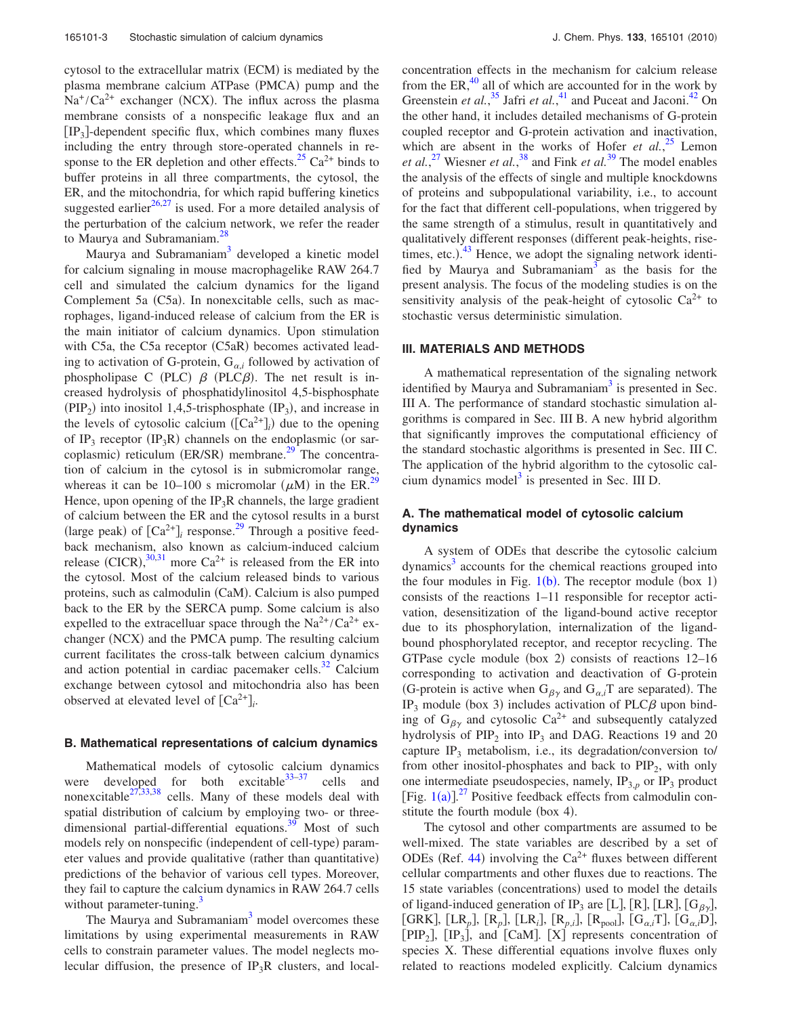cytosol to the extracellular matrix (ECM) is mediated by the plasma membrane calcium ATPase (PMCA) pump and the  $Na^{+}/Ca^{2+}$  exchanger (NCX). The influx across the plasma membrane consists of a nonspecific leakage flux and an  $[IP_3]$ -dependent specific flux, which combines many fluxes including the entry through store-operated channels in response to the ER depletion and other effects.<sup>25</sup> Ca<sup>2+</sup> binds to buffer proteins in all three compartments, the cytosol, the ER, and the mitochondria, for which rapid buffering kinetics suggested earlier $^{26,27}$  $^{26,27}$  $^{26,27}$  is used. For a more detailed analysis of the perturbation of the calcium network, we refer the reader to Maurya and Subramaniam.<sup>28</sup>

Maurya and Subramaniam<sup>3</sup> developed a kinetic model for calcium signaling in mouse macrophagelike RAW 264.7 cell and simulated the calcium dynamics for the ligand Complement 5a  $(C5a)$ . In nonexcitable cells, such as macrophages, ligand-induced release of calcium from the ER is the main initiator of calcium dynamics. Upon stimulation with C5a, the C5a receptor (C5aR) becomes activated leading to activation of G-protein,  $G_{\alpha i}$  followed by activation of phospholipase C (PLC)  $\beta$  (PLC $\beta$ ). The net result is increased hydrolysis of phosphatidylinositol 4,5-bisphosphate  $(PIP<sub>2</sub>)$  into inositol 1,4,5-trisphosphate  $(IP<sub>3</sub>)$ , and increase in the levels of cytosolic calcium  $([Ca<sup>2+</sup>]$ <sup>*i*</sup> due to the opening of IP<sub>3</sub> receptor  $(IP_3R)$  channels on the endoplasmic (or sarcoplasmic) reticulum  $(ER/SR)$  membrane.<sup>29</sup> The concentration of calcium in the cytosol is in submicromolar range, whereas it can be 10–100 s micromolar ( $\mu$ M) in the ER.<sup>29</sup> Hence, upon opening of the  $IP_3R$  channels, the large gradient of calcium between the ER and the cytosol results in a burst (large peak) of  $[Ca^{2+}]_i$  response.<sup>[29](#page-15-27)</sup> Through a positive feedback mechanism, also known as calcium-induced calcium release (CICR),  $30,31$  $30,31$  more Ca<sup>2+</sup> is released from the ER into the cytosol. Most of the calcium released binds to various proteins, such as calmodulin (CaM). Calcium is also pumped back to the ER by the SERCA pump. Some calcium is also expelled to the extracelluar space through the  $Na^{2+}/Ca^{2+}$  exchanger (NCX) and the PMCA pump. The resulting calcium current facilitates the cross-talk between calcium dynamics and action potential in cardiac pacemaker cells. $32$  Calcium exchange between cytosol and mitochondria also has been observed at elevated level of  $[Ca^{2+}]_i$ .

#### **B. Mathematical representations of calcium dynamics**

Mathematical models of cytosolic calcium dynamics were developed for both excitable  $33-37$  $33-37$  cells and nonexcitable<sup>27,[33,](#page-15-31)[38](#page-15-33)</sup> cells. Many of these models deal with spatial distribution of calcium by employing two- or threedimensional partial-differential equations.<sup>39</sup> Most of such models rely on nonspecific (independent of cell-type) parameter values and provide qualitative (rather than quantitative) predictions of the behavior of various cell types. Moreover, they fail to capture the calcium dynamics in RAW 264.7 cells without parameter-tuning. $\frac{3}{2}$ 

The Maurya and Subramaniam<sup>3</sup> model overcomes these limitations by using experimental measurements in RAW cells to constrain parameter values. The model neglects molecular diffusion, the presence of  $IP_3R$  clusters, and localconcentration effects in the mechanism for calcium release from the ER, $^{40}$  all of which are accounted for in the work by Greenstein *et al.*<sup>[35](#page-15-36)</sup> Jafri *et al.*<sup>[41](#page-15-37)</sup> and Puceat and Jaconi.<sup>42</sup> On the other hand, it includes detailed mechanisms of G-protein coupled receptor and G-protein activation and inactivation, which are absent in the works of Hofer *et al.*<sup>[25](#page-15-23)</sup> Lemon *et al.*, [27](#page-15-25) Wiesner *et al.*, [38](#page-15-33) and Fink *et al.*[39](#page-15-34) The model enables the analysis of the effects of single and multiple knockdowns of proteins and subpopulational variability, i.e., to account for the fact that different cell-populations, when triggered by the same strength of a stimulus, result in quantitatively and qualitatively different responses (different peak-heights, risetimes, etc.). $^{43}$  $^{43}$  $^{43}$  Hence, we adopt the signaling network identified by Maurya and Subramaniam<sup>3</sup> as the basis for the present analysis. The focus of the modeling studies is on the sensitivity analysis of the peak-height of cytosolic  $Ca^{2+}$  to stochastic versus deterministic simulation.

#### **III. MATERIALS AND METHODS**

A mathematical representation of the signaling network identified by Maurya and Subramaniam<sup>3</sup> is presented in Sec. III A. The performance of standard stochastic simulation algorithms is compared in Sec. III B. A new hybrid algorithm that significantly improves the computational efficiency of the standard stochastic algorithms is presented in Sec. III C. The application of the hybrid algorithm to the cytosolic calcium dynamics model $3$  is presented in Sec. III D.

# **A. The mathematical model of cytosolic calcium dynamics**

A system of ODEs that describe the cytosolic calcium dynamics<sup>3</sup> accounts for the chemical reactions grouped into the four modules in Fig.  $1(b)$  $1(b)$ . The receptor module (box 1) consists of the reactions 1–11 responsible for receptor activation, desensitization of the ligand-bound active receptor due to its phosphorylation, internalization of the ligandbound phosphorylated receptor, and receptor recycling. The GTPase cycle module (box 2) consists of reactions  $12-16$ corresponding to activation and deactivation of G-protein (G-protein is active when  $G_{\beta\gamma}$  and  $G_{\alpha,i}$ <sup>T</sup> are separated). The IP<sub>3</sub> module (box 3) includes activation of PLC $\beta$  upon binding of  $G_{\beta\gamma}$  and cytosolic Ca<sup>2+</sup> and subsequently catalyzed hydrolysis of  $PIP_2$  into  $IP_3$  and DAG. Reactions 19 and 20 capture  $IP_3$  metabolism, i.e., its degradation/conversion to/ from other inositol-phosphates and back to  $\text{PIP}_2$ , with only one intermediate pseudospecies, namely,  $IP_{3,p}$  or  $IP_3$  product [Fig.  $1(a)$  $1(a)$ ].<sup>[27](#page-15-25)</sup> Positive feedback effects from calmodulin constitute the fourth module (box 4).

The cytosol and other compartments are assumed to be well-mixed. The state variables are described by a set of ODEs (Ref. [44](#page-15-40)) involving the  $Ca^{2+}$  fluxes between different cellular compartments and other fluxes due to reactions. The 15 state variables (concentrations) used to model the details of ligand-induced generation of IP<sub>3</sub> are [L], [R], [LR], [G<sub> $\beta$ y</sub>], [GRK], [LR<sub>p</sub>], [R<sub>p</sub>], [LR<sub>i</sub>], [R<sub>p,*i*</sub>], [R<sub>pool</sub>], [G<sub>α,*i*</sub>T], [G<sub>α,*i*</sub>D], [PIP<sub>2</sub>], [IP<sub>3</sub>], and [CaM]. [X] represents concentration of species X. These differential equations involve fluxes only related to reactions modeled explicitly. Calcium dynamics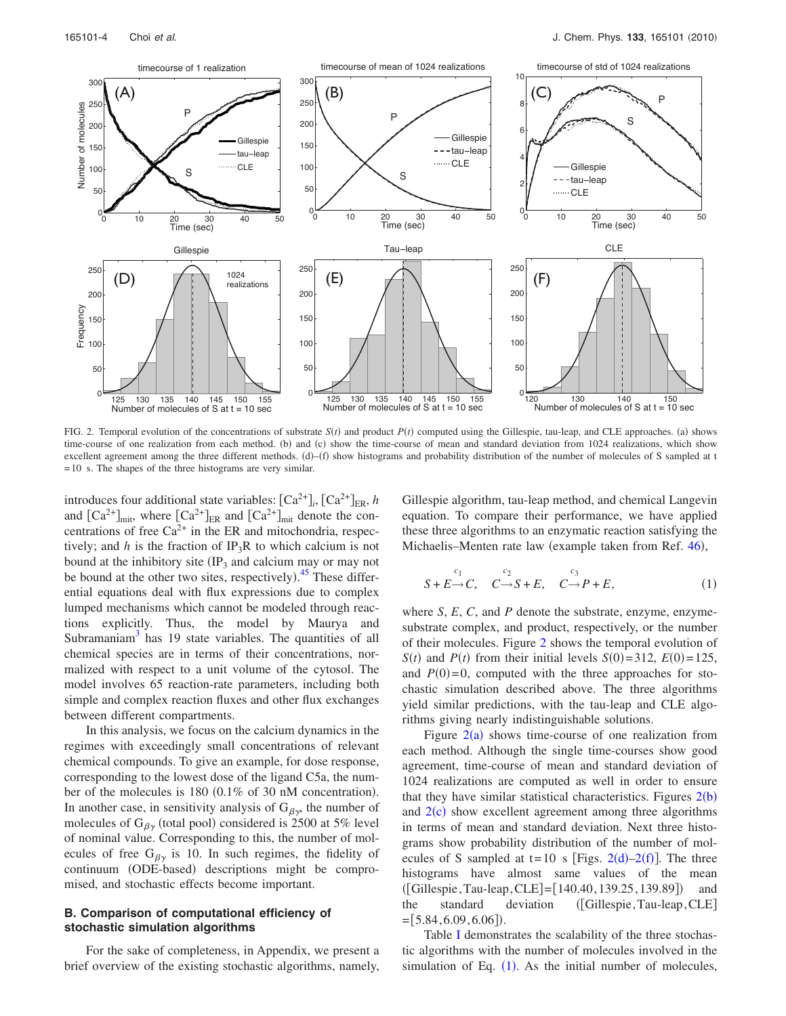<span id="page-3-0"></span>

FIG. 2. Temporal evolution of the concentrations of substrate  $S(t)$  and product  $P(t)$  computed using the Gillespie, tau-leap, and CLE approaches. (a) shows time-course of one realization from each method. (b) and (c) show the time-course of mean and standard deviation from 1024 realizations, which show excellent agreement among the three different methods.  $(d)$ – $(f)$  show histograms and probability distribution of the number of molecules of S sampled at t  $= 10$  s. The shapes of the three histograms are very similar.

introduces four additional state variables:  $[Ca^{2+}]_i$ ,  $[Ca^{2+}]_{ER}$ , *h* and  $\left[Ca^{2+}\right]_{\text{mit}}$ , where  $\left[Ca^{2+}\right]_{\text{ER}}$  and  $\left[Ca^{2+}\right]_{\text{mit}}$  denote the concentrations of free  $Ca^{2+}$  in the ER and mitochondria, respectively; and *h* is the fraction of IP<sub>3</sub>R to which calcium is not bound at the inhibitory site  $(\text{IP}_3)$  and calcium may or may not be bound at the other two sites, respectively).<sup>[45](#page-15-41)</sup> These differential equations deal with flux expressions due to complex lumped mechanisms which cannot be modeled through reactions explicitly. Thus, the model by Maurya and Subramaniam $3$  has 19 state variables. The quantities of all chemical species are in terms of their concentrations, normalized with respect to a unit volume of the cytosol. The model involves 65 reaction-rate parameters, including both simple and complex reaction fluxes and other flux exchanges between different compartments.

In this analysis, we focus on the calcium dynamics in the regimes with exceedingly small concentrations of relevant chemical compounds. To give an example, for dose response, corresponding to the lowest dose of the ligand C5a, the number of the molecules is  $180$   $(0.1\%$  of 30 nM concentration). In another case, in sensitivity analysis of  $G_{\beta\gamma}$ , the number of molecules of  $G_{\beta\gamma}$  (total pool) considered is 2500 at 5% level of nominal value. Corresponding to this, the number of molecules of free  $G_{\beta\gamma}$  is 10. In such regimes, the fidelity of continuum (ODE-based) descriptions might be compromised, and stochastic effects become important.

#### **B. Comparison of computational efficiency of stochastic simulation algorithms**

For the sake of completeness, in Appendix, we present a brief overview of the existing stochastic algorithms, namely, Gillespie algorithm, tau-leap method, and chemical Langevin equation. To compare their performance, we have applied these three algorithms to an enzymatic reaction satisfying the Michaelis–Menten rate law (example taken from Ref. [46](#page-15-42)),

<span id="page-3-1"></span>
$$
S + E \rightarrow C, \quad C \rightarrow S + E, \quad C \rightarrow P + E, \tag{1}
$$

where *S*, *E*, *C*, and *P* denote the substrate, enzyme, enzymesubstrate complex, and product, respectively, or the number of their molecules. Figure [2](#page-3-0) shows the temporal evolution of *S*(*t*) and *P*(*t*) from their initial levels *S*(0)=312, *E*(0)=125, and  $P(0)=0$ , computed with the three approaches for stochastic simulation described above. The three algorithms yield similar predictions, with the tau-leap and CLE algorithms giving nearly indistinguishable solutions.

Figure  $2(a)$  $2(a)$  shows time-course of one realization from each method. Although the single time-courses show good agreement, time-course of mean and standard deviation of 1024 realizations are computed as well in order to ensure that they have similar statistical characteristics. Figures  $2(b)$  $2(b)$ and  $2(c)$  $2(c)$  show excellent agreement among three algorithms in terms of mean and standard deviation. Next three histograms show probability distribution of the number of mol-ecules of S sampled at t=10 s [Figs. [2](#page-3-0)(d)[–2](#page-3-0)(f)]. The three histograms have almost same values of the mean  $([Gillespie, Tau-leap, CLE] = [140.40, 139.25, 139.89])$  and the standard deviation ([Gillespie, Tau-leap, CLE]  $=[5.84, 6.09, 6.06]$ .

Table [I](#page-4-0) demonstrates the scalability of the three stochastic algorithms with the number of molecules involved in the simulation of Eq.  $(1)$  $(1)$  $(1)$ . As the initial number of molecules,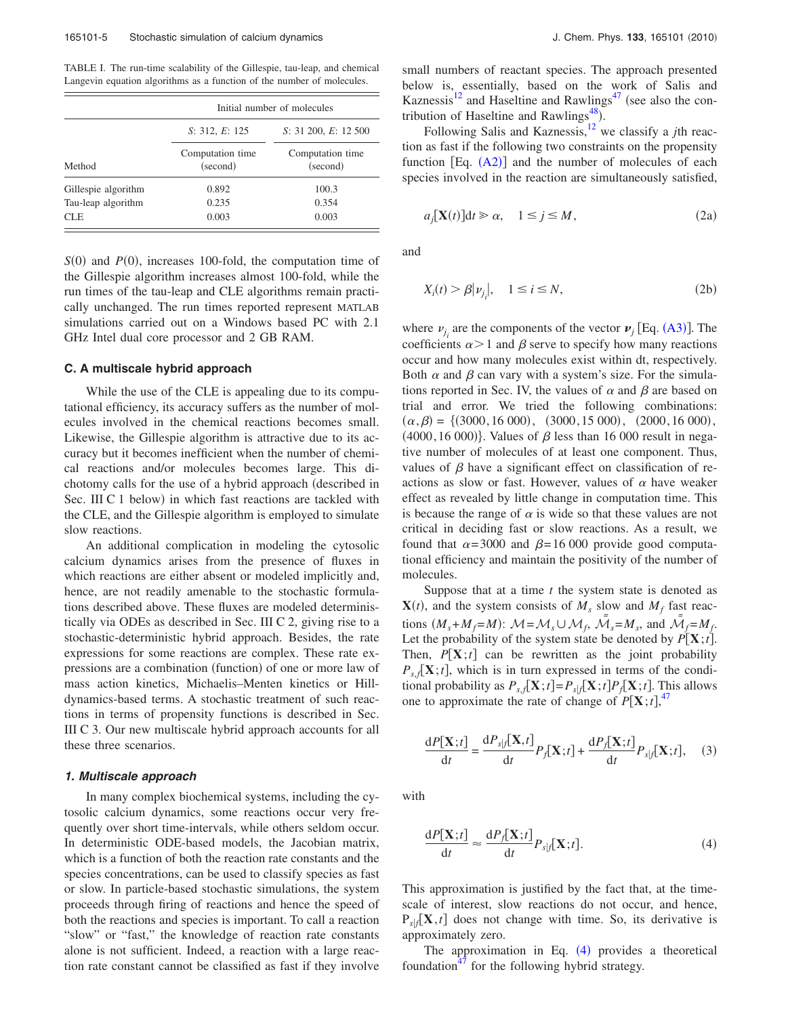<span id="page-4-0"></span>TABLE I. The run-time scalability of the Gillespie, tau-leap, and chemical Langevin equation algorithms as a function of the number of molecules.

|                     | Initial number of molecules  |                              |  |
|---------------------|------------------------------|------------------------------|--|
|                     | S: 312, E: 125               | S: 31 200, E: 12 500         |  |
| Method              | Computation time<br>(second) | Computation time<br>(second) |  |
| Gillespie algorithm | 0.892                        | 100.3                        |  |
| Tau-leap algorithm  | 0.235                        | 0.354                        |  |
| CLE.                | 0.003                        | 0.003                        |  |

 $S(0)$  and  $P(0)$ , increases 100-fold, the computation time of the Gillespie algorithm increases almost 100-fold, while the run times of the tau-leap and CLE algorithms remain practically unchanged. The run times reported represent MATLAB simulations carried out on a Windows based PC with 2.1 GHz Intel dual core processor and 2 GB RAM.

## **C. A multiscale hybrid approach**

While the use of the CLE is appealing due to its computational efficiency, its accuracy suffers as the number of molecules involved in the chemical reactions becomes small. Likewise, the Gillespie algorithm is attractive due to its accuracy but it becomes inefficient when the number of chemical reactions and/or molecules becomes large. This dichotomy calls for the use of a hybrid approach (described in Sec. III C 1 below) in which fast reactions are tackled with the CLE, and the Gillespie algorithm is employed to simulate slow reactions.

An additional complication in modeling the cytosolic calcium dynamics arises from the presence of fluxes in which reactions are either absent or modeled implicitly and, hence, are not readily amenable to the stochastic formulations described above. These fluxes are modeled deterministically via ODEs as described in Sec. III C 2, giving rise to a stochastic-deterministic hybrid approach. Besides, the rate expressions for some reactions are complex. These rate expressions are a combination (function) of one or more law of mass action kinetics, Michaelis–Menten kinetics or Hilldynamics-based terms. A stochastic treatment of such reactions in terms of propensity functions is described in Sec. III C 3. Our new multiscale hybrid approach accounts for all these three scenarios.

#### **1. Multiscale approach**

In many complex biochemical systems, including the cytosolic calcium dynamics, some reactions occur very frequently over short time-intervals, while others seldom occur. In deterministic ODE-based models, the Jacobian matrix, which is a function of both the reaction rate constants and the species concentrations, can be used to classify species as fast or slow. In particle-based stochastic simulations, the system proceeds through firing of reactions and hence the speed of both the reactions and species is important. To call a reaction "slow" or "fast," the knowledge of reaction rate constants alone is not sufficient. Indeed, a reaction with a large reaction rate constant cannot be classified as fast if they involve small numbers of reactant species. The approach presented below is, essentially, based on the work of Salis and Kaznessis<sup>12</sup> and Haseltine and Rawlings<sup>47</sup> (see also the contribution of Haseltine and Rawlings<sup>48</sup>).

Following Salis and Kaznessis[,12](#page-15-11) we classify a *j*th reaction as fast if the following two constraints on the propensity function  $[Eq. (A2)]$  $[Eq. (A2)]$  $[Eq. (A2)]$  and the number of molecules of each species involved in the reaction are simultaneously satisfied,

$$
a_j[\mathbf{X}(t)]\mathrm{d}t \ge \alpha, \quad 1 \le j \le M,\tag{2a}
$$

and

$$
X_i(t) > \beta |v_{j_i}|, \quad 1 \le i \le N,\tag{2b}
$$

where  $\nu_{j_i}$  are the components of the vector  $\nu_j$  [Eq. ([A3](#page-14-0))]. The coefficients  $\alpha$  > 1 and  $\beta$  serve to specify how many reactions occur and how many molecules exist within dt, respectively. Both  $\alpha$  and  $\beta$  can vary with a system's size. For the simulations reported in Sec. IV, the values of  $\alpha$  and  $\beta$  are based on trial and error. We tried the following combinations:  $(\alpha, \beta) = \{ (3000, 16000), (3000, 15000), (2000, 16000),$  $(4000, 16000)$ . Values of  $\beta$  less than 16 000 result in negative number of molecules of at least one component. Thus, values of  $\beta$  have a significant effect on classification of reactions as slow or fast. However, values of  $\alpha$  have weaker effect as revealed by little change in computation time. This is because the range of  $\alpha$  is wide so that these values are not critical in deciding fast or slow reactions. As a result, we found that  $\alpha = 3000$  and  $\beta = 16000$  provide good computational efficiency and maintain the positivity of the number of molecules.

Suppose that at a time *t* the system state is denoted as  $\mathbf{X}(t)$ , and the system consists of  $M_s$  slow and  $M_f$  fast reactions  $(M_s + M_f = M)$ :  $\mathcal{M} = \mathcal{M}_s \cup \mathcal{M}_f$ ,  $\overline{\mathcal{M}}_s = M_s$ , and  $\overline{\mathcal{M}}_f = M_f$ . Let the probability of the system state be denoted by  $P[\mathbf{X};t]$ . Then,  $P[X;t]$  can be rewritten as the joint probability  $P_{s,f}[\mathbf{X};t]$ , which is in turn expressed in terms of the conditional probability as  $P_{s,f}[\mathbf{X};t] = P_{s|f}[\mathbf{X};t]P_f[\mathbf{X};t]$ . This allows one to approximate the rate of change of  $P[\mathbf{X};t]$ ,<sup>[47](#page-15-43)</sup>

$$
\frac{\mathrm{d}P[\mathbf{X};t]}{\mathrm{d}t} = \frac{\mathrm{d}P_{s|f}[\mathbf{X},t]}{\mathrm{d}t}P_f[\mathbf{X};t] + \frac{\mathrm{d}P_f[\mathbf{X};t]}{\mathrm{d}t}P_{s|f}[\mathbf{X};t],\quad(3)
$$

with

<span id="page-4-1"></span>
$$
\frac{\mathrm{d}P[\mathbf{X};t]}{\mathrm{d}t} \approx \frac{\mathrm{d}P_f[\mathbf{X};t]}{\mathrm{d}t} P_{s|f}[\mathbf{X};t].
$$
\n(4)

This approximation is justified by the fact that, at the timescale of interest, slow reactions do not occur, and hence,  $P_{s}$ *f* $[X, t]$  does not change with time. So, its derivative is approximately zero.

The approximation in Eq.  $(4)$  $(4)$  $(4)$  provides a theoretical foundation $47$  for the following hybrid strategy.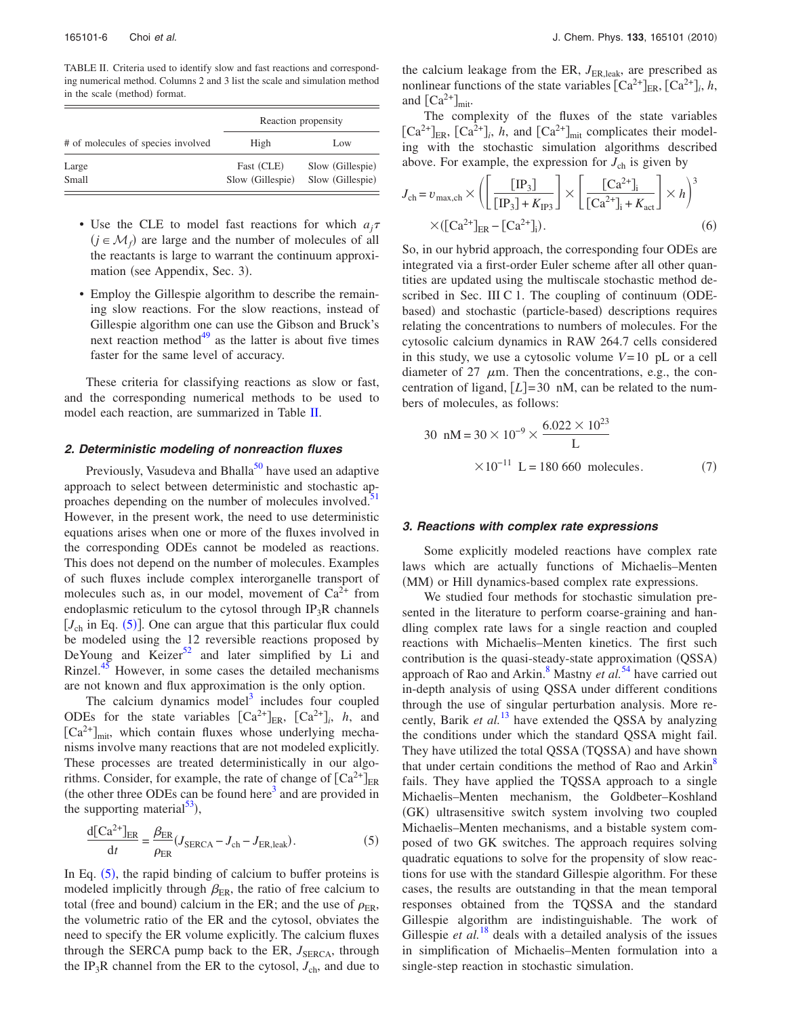<span id="page-5-0"></span>TABLE II. Criteria used to identify slow and fast reactions and corresponding numerical method. Columns 2 and 3 list the scale and simulation method in the scale (method) format.

|                                    | Reaction propensity            |                                      |
|------------------------------------|--------------------------------|--------------------------------------|
| # of molecules of species involved | High                           | Low                                  |
| Large<br>Small                     | Fast (CLE)<br>Slow (Gillespie) | Slow (Gillespie)<br>Slow (Gillespie) |

- Use the CLE to model fast reactions for which  $a_i\tau$  $(j \in \mathcal{M}_f)$  are large and the number of molecules of all the reactants is large to warrant the continuum approximation (see Appendix, Sec. 3).
- Employ the Gillespie algorithm to describe the remaining slow reactions. For the slow reactions, instead of Gillespie algorithm one can use the Gibson and Bruck's next reaction method $49$  as the latter is about five times faster for the same level of accuracy.

These criteria for classifying reactions as slow or fast, and the corresponding numerical methods to be used to model each reaction, are summarized in Table [II.](#page-5-0)

#### **2. Deterministic modeling of nonreaction fluxes**

Previously, Vasudeva and Bhalla<sup>50</sup> have used an adaptive approach to select between deterministic and stochastic approaches depending on the number of molecules involved.<sup>5</sup> However, in the present work, the need to use deterministic equations arises when one or more of the fluxes involved in the corresponding ODEs cannot be modeled as reactions. This does not depend on the number of molecules. Examples of such fluxes include complex interorganelle transport of molecules such as, in our model, movement of  $Ca^{2+}$  from endoplasmic reticulum to the cytosol through  $IP_3R$  channels  $[J<sub>ch</sub>$  in Eq. ([5](#page-5-1))]. One can argue that this particular flux could be modeled using the 12 reversible reactions proposed by DeYoung and Keizer<sup>52</sup> and later simplified by Li and Rinzel.<sup>45</sup> However, in some cases the detailed mechanisms are not known and flux approximation is the only option.

The calcium dynamics model<sup>3</sup> includes four coupled ODEs for the state variables  $\left[\text{Ca}^{2+}\right]_{\text{ER}}$ ,  $\left[\text{Ca}^{2+}\right]_{i}$ , *h*, and  $[Ca<sup>2+</sup>]_{mit}$ , which contain fluxes whose underlying mechanisms involve many reactions that are not modeled explicitly. These processes are treated deterministically in our algorithms. Consider, for example, the rate of change of  $\lceil Ca^{2+} \rceil_{\text{ER}}$ (the other three ODEs can be found here<sup>3</sup> and are provided in the supporting material $^{53}$ ),

<span id="page-5-1"></span>
$$
\frac{\mathrm{d}[\mathrm{Ca}^{2+}]_{\mathrm{ER}}}{\mathrm{d}t} = \frac{\beta_{\mathrm{ER}}}{\rho_{\mathrm{ER}}} (J_{\mathrm{SERCA}} - J_{\mathrm{ch}} - J_{\mathrm{ER, leak}}). \tag{5}
$$

In Eq.  $(5)$  $(5)$  $(5)$ , the rapid binding of calcium to buffer proteins is modeled implicitly through  $\beta_{ER}$ , the ratio of free calcium to total (free and bound) calcium in the ER; and the use of  $\rho_{ER}$ , the volumetric ratio of the ER and the cytosol, obviates the need to specify the ER volume explicitly. The calcium fluxes through the SERCA pump back to the ER,  $J_{\text{SERCA}}$ , through the IP<sub>3</sub>R channel from the ER to the cytosol,  $J_{ch}$ , and due to the calcium leakage from the ER,  $J_{ER, \text{leak}}$ , are prescribed as nonlinear functions of the state variables  $\left[Ca^{2+}\right]_{ER}$ ,  $\left[Ca^{2+}\right]_i$ , *h*, and  $\left[Ca^{2+}\right]_{\text{mit}}$ .

The complexity of the fluxes of the state variables  $\left[\text{Ca}^{2+}\right]_{\text{ER}}$ ,  $\left[\text{Ca}^{2+}\right]_{i}$ , *h*, and  $\left[\text{Ca}^{2+}\right]_{\text{mit}}$  complicates their modeling with the stochastic simulation algorithms described above. For example, the expression for  $J_{ch}$  is given by

$$
J_{\text{ch}} = v_{\text{max,ch}} \times \left( \left[ \frac{[\text{IP}_3]}{[\text{IP}_3] + K_{\text{IP3}}} \right] \times \left[ \frac{[\text{Ca}^{2+}]_i}{[\text{Ca}^{2+}]_i + K_{\text{act}}} \right] \times h \right)^3
$$

$$
\times ([\text{Ca}^{2+}]_{\text{ER}} - [\text{Ca}^{2+}]_i). \tag{6}
$$

So, in our hybrid approach, the corresponding four ODEs are integrated via a first-order Euler scheme after all other quantities are updated using the multiscale stochastic method described in Sec. III C 1. The coupling of continuum (ODEbased) and stochastic (particle-based) descriptions requires relating the concentrations to numbers of molecules. For the cytosolic calcium dynamics in RAW 264.7 cells considered in this study, we use a cytosolic volume *V*= 10 pL or a cell diameter of 27  $\mu$ m. Then the concentrations, e.g., the concentration of ligand,  $[L] = 30 \text{ nM}$ , can be related to the numbers of molecules, as follows:

30 nM = 
$$
30 \times 10^{-9} \times \frac{6.022 \times 10^{23}}{L}
$$
  
  $\times 10^{-11}$  L = 180 660 molecules. (7)

#### **3. Reactions with complex rate expressions**

Some explicitly modeled reactions have complex rate laws which are actually functions of Michaelis–Menten (MM) or Hill dynamics-based complex rate expressions.

We studied four methods for stochastic simulation presented in the literature to perform coarse-graining and handling complex rate laws for a single reaction and coupled reactions with Michaelis–Menten kinetics. The first such contribution is the quasi-steady-state approximation (QSSA) approach of Rao and Arkin.<sup>8</sup> Mastny *et al.*<sup>[54](#page-15-50)</sup> have carried out in-depth analysis of using QSSA under different conditions through the use of singular perturbation analysis. More recently, Barik *et al.*[13](#page-15-12) have extended the QSSA by analyzing the conditions under which the standard QSSA might fail. They have utilized the total QSSA (TQSSA) and have shown that under certain conditions the method of Rao and Arkin<sup>8</sup> fails. They have applied the TQSSA approach to a single Michaelis–Menten mechanism, the Goldbeter–Koshland (GK) ultrasensitive switch system involving two coupled Michaelis–Menten mechanisms, and a bistable system composed of two GK switches. The approach requires solving quadratic equations to solve for the propensity of slow reactions for use with the standard Gillespie algorithm. For these cases, the results are outstanding in that the mean temporal responses obtained from the TQSSA and the standard Gillespie algorithm are indistinguishable. The work of Gillespie *et al.*<sup>[18](#page-15-17)</sup> deals with a detailed analysis of the issues in simplification of Michaelis–Menten formulation into a single-step reaction in stochastic simulation.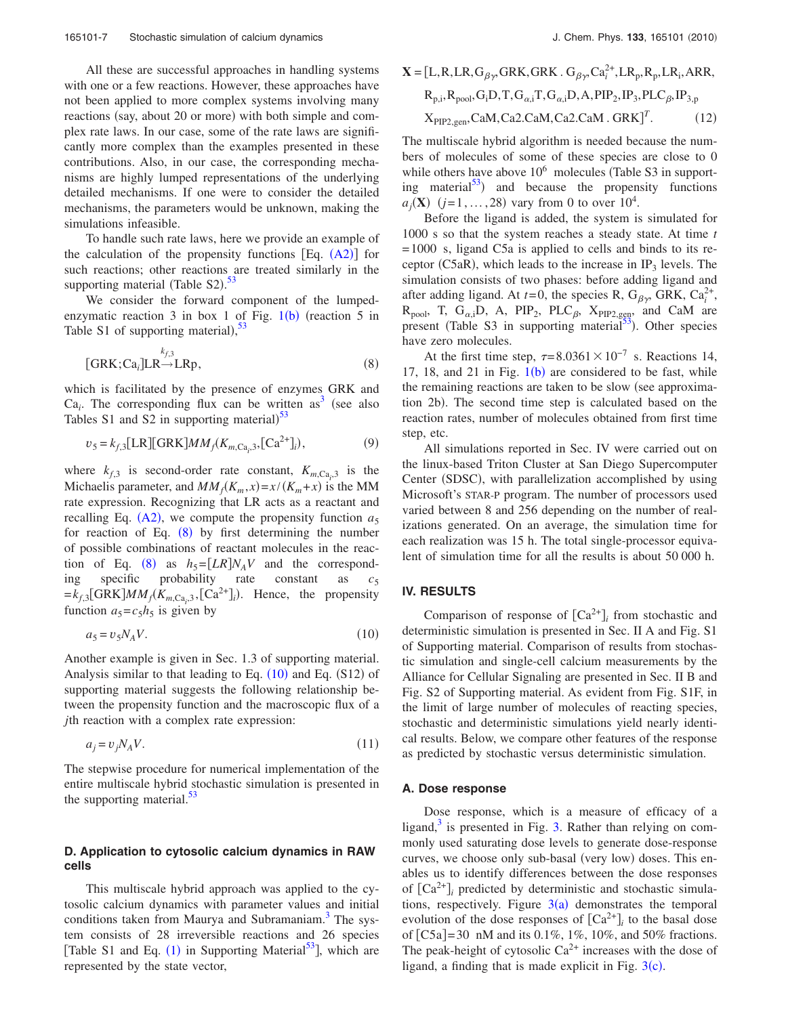All these are successful approaches in handling systems with one or a few reactions. However, these approaches have not been applied to more complex systems involving many reactions (say, about 20 or more) with both simple and complex rate laws. In our case, some of the rate laws are significantly more complex than the examples presented in these contributions. Also, in our case, the corresponding mechanisms are highly lumped representations of the underlying detailed mechanisms. If one were to consider the detailed mechanisms, the parameters would be unknown, making the simulations infeasible.

To handle such rate laws, here we provide an example of the calculation of the propensity functions  $[Eq. (A2)]$  $[Eq. (A2)]$  $[Eq. (A2)]$  for such reactions; other reactions are treated similarly in the supporting material (Table S2).<sup>[53](#page-15-49)</sup>

We consider the forward component of the lumped-enzymatic reaction 3 in box [1](#page-1-0) of Fig.  $1(b)$  (reaction 5 in Table S1 of supporting material),  $53$ 

<span id="page-6-0"></span>
$$
[GRK; Cai]LRkf,3_{\rightarrow}LRp,
$$
 (8)

which is facilitated by the presence of enzymes GRK and  $Ca<sub>i</sub>$ . The corresponding flux can be written as<sup>3</sup> (see also Tables S1 and S2 in supporting material) $^{53}$  $^{53}$  $^{53}$ 

$$
v_5 = k_{f,3} [\text{LR}][\text{GRK}] M M_f (K_{m, Ca,3}, [\text{Ca}^{2+}]) \,, \tag{9}
$$

where  $k_{f,3}$  is second-order rate constant,  $K_{m,Ca_i,3}$  is the Michaelis parameter, and  $MM_f(K_m, x) = x/(K_m + x)$  is the MM rate expression. Recognizing that LR acts as a reactant and recalling Eq.  $(A2)$  $(A2)$  $(A2)$ , we compute the propensity function  $a_5$ for reaction of Eq.  $(8)$  $(8)$  $(8)$  by first determining the number of possible combinations of reactant molecules in the reac-tion of Eq. ([8](#page-6-0)) as  $h_5=[LR]N_A V$  and the corresponding specific probability rate constant as  $c_5$  $=k_{f,3} [GRK] MM_f(K_{m,Ca_i,3}, [Ca^{2+}])$ . Hence, the propensity function  $a_5 = c_5 h_5$  is given by

<span id="page-6-1"></span>
$$
a_5 = v_5 N_A V. \tag{10}
$$

Another example is given in Sec. 1.3 of supporting material. Analysis similar to that leading to Eq.  $(10)$  $(10)$  $(10)$  and Eq.  $(S12)$  of supporting material suggests the following relationship between the propensity function and the macroscopic flux of a *j*th reaction with a complex rate expression:

$$
a_j = v_j N_A V. \tag{11}
$$

The stepwise procedure for numerical implementation of the entire multiscale hybrid stochastic simulation is presented in the supporting material. $53$ 

# **D. Application to cytosolic calcium dynamics in RAW cells**

This multiscale hybrid approach was applied to the cytosolic calcium dynamics with parameter values and initial conditions taken from Maurya and Subramaniam.<sup>3</sup> The system consists of 28 irreversible reactions and 26 species [Table S[1](#page-3-1) and Eq.  $(1)$  in Supporting Material<sup>53</sup>], which are represented by the state vector,

$$
\mathbf{X} = [\mathbf{L}, \mathbf{R}, \mathbf{LR}, \mathbf{G}_{\beta\gamma}, \mathbf{GRK}, \mathbf{GRK}, \mathbf{G}_{\beta\gamma}, \mathbf{Ca}_i^{2+}, \mathbf{LR}_p, \mathbf{R}_p, \mathbf{LR}_i, \mathbf{ARR},
$$
  
\n
$$
\mathbf{R}_{p,i}, \mathbf{R}_{pool}, \mathbf{G}_i \mathbf{D}, \mathbf{T}, \mathbf{G}_{\alpha,i} \mathbf{T}, \mathbf{G}_{\alpha,i} \mathbf{D}, \mathbf{A}, \mathbf{PIP}_2, \mathbf{IP}_3, \mathbf{PLC}_{\beta}, \mathbf{IP}_{3,p}
$$
  
\n
$$
\mathbf{X}_{\text{PIP2,gen}}, \mathbf{CaM}, \mathbf{Ca2}.\mathbf{CaM}, \mathbf{Ca2}.\mathbf{CaM}, \mathbf{GRK}]^T.
$$
 (12)

The multiscale hybrid algorithm is needed because the numbers of molecules of some of these species are close to 0 while others have above  $10^6$  molecules (Table S3 in supporting material<sup>53</sup>) and because the propensity functions  $a_j(\mathbf{X})$  (*j*=1,...,28) vary from 0 to over 10<sup>4</sup>.

Before the ligand is added, the system is simulated for 1000 s so that the system reaches a steady state. At time *t* = 1000 s, ligand C5a is applied to cells and binds to its receptor (C5aR), which leads to the increase in  $IP_3$  levels. The simulation consists of two phases: before adding ligand and after adding ligand. At  $t=0$ , the species R,  $G_{\beta\gamma}$ , GRK,  $Ca_i^{2+}$ ,  $R_{pool}$ , T,  $G_{\alpha,i}D$ , A,  $PIP_2$ ,  $PLC_{\beta}$ ,  $X_{PIP2,geq}$ , and CaM are present (Table S3 in supporting material<sup>53</sup>). Other species have zero molecules.

At the first time step,  $\tau = 8.0361 \times 10^{-7}$  s. Reactions 14, [1](#page-1-0)7, 18, and 21 in Fig.  $1(b)$  are considered to be fast, while the remaining reactions are taken to be slow (see approximation 2b). The second time step is calculated based on the reaction rates, number of molecules obtained from first time step, etc.

All simulations reported in Sec. IV were carried out on the linux-based Triton Cluster at San Diego Supercomputer Center (SDSC), with parallelization accomplished by using Microsoft's STAR-P program. The number of processors used varied between 8 and 256 depending on the number of realizations generated. On an average, the simulation time for each realization was 15 h. The total single-processor equivalent of simulation time for all the results is about 50 000 h.

# **IV. RESULTS**

Comparison of response of  $[Ca^{2+}]\text{ }$  from stochastic and deterministic simulation is presented in Sec. II A and Fig. S1 of Supporting material. Comparison of results from stochastic simulation and single-cell calcium measurements by the Alliance for Cellular Signaling are presented in Sec. II B and Fig. S2 of Supporting material. As evident from Fig. S1F, in the limit of large number of molecules of reacting species, stochastic and deterministic simulations yield nearly identical results. Below, we compare other features of the response as predicted by stochastic versus deterministic simulation.

## **A. Dose response**

Dose response, which is a measure of efficacy of a ligand, $3$  is presented in Fig. [3.](#page-7-0) Rather than relying on commonly used saturating dose levels to generate dose-response curves, we choose only sub-basal (very low) doses. This enables us to identify differences between the dose responses of  $[Ca^{2+}]$ <sub>*i*</sub> predicted by deterministic and stochastic simulations, respectively. Figure  $3(a)$  $3(a)$  demonstrates the temporal evolution of the dose responses of  $[Ca^{2+}]$ <sub>*i*</sub> to the basal dose of  $[C5a] = 30 \text{ nM}$  and its 0.1%, 1%, 10%, and 50% fractions. The peak-height of cytosolic  $Ca^{2+}$  increases with the dose of ligand, a finding that is made explicit in Fig.  $3(c)$  $3(c)$ .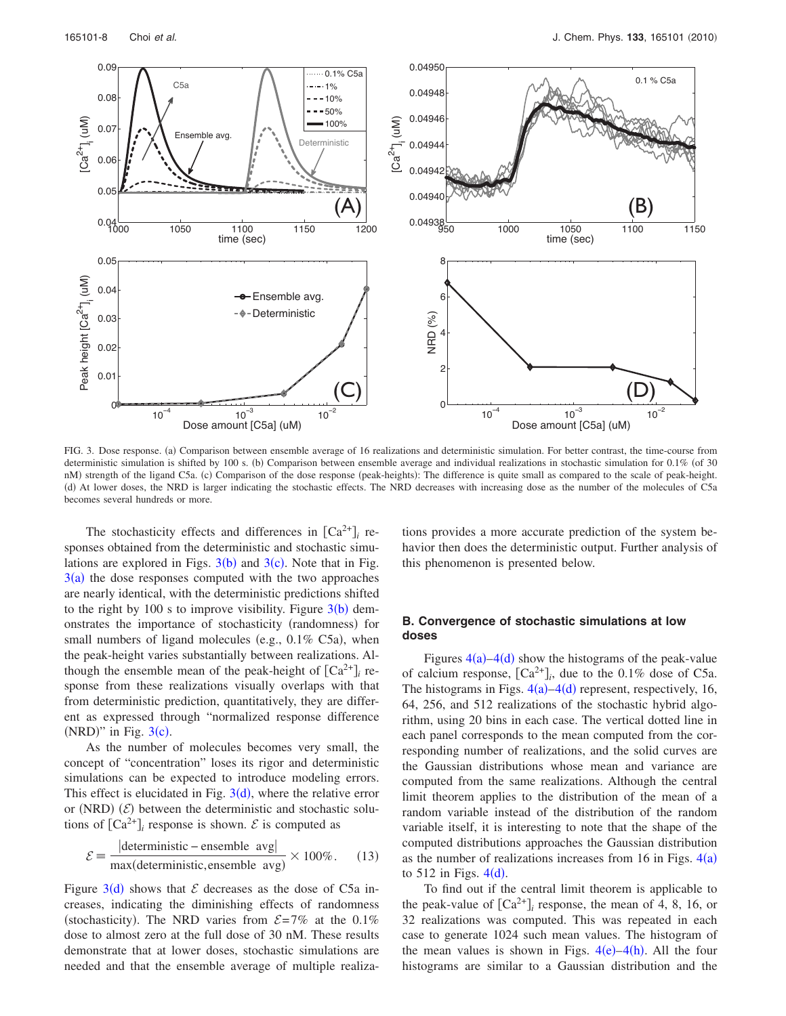<span id="page-7-0"></span>

FIG. 3. Dose response. (a) Comparison between ensemble average of 16 realizations and deterministic simulation. For better contrast, the time-course from deterministic simulation is shifted by 100 s. (b) Comparison between ensemble average and individual realizations in stochastic simulation for 0.1% (of 30 nM) strength of the ligand C5a. (c) Comparison of the dose response (peak-heights): The difference is quite small as compared to the scale of peak-height. !d" At lower doses, the NRD is larger indicating the stochastic effects. The NRD decreases with increasing dose as the number of the molecules of C5a becomes several hundreds or more.

The stochasticity effects and differences in  $[Ca^{2+}]$ <sub>*i*</sub> responses obtained from the deterministic and stochastic simulations are explored in Figs.  $3(b)$  $3(b)$  and  $3(c)$ . Note that in Fig.  $3(a)$  $3(a)$  the dose responses computed with the two approaches are nearly identical, with the deterministic predictions shifted to the right by 100 s to improve visibility. Figure  $3(b)$  $3(b)$  demonstrates the importance of stochasticity (randomness) for small numbers of ligand molecules (e.g.,  $0.1\%$  C5a), when the peak-height varies substantially between realizations. Although the ensemble mean of the peak-height of  $[Ca^{2+}]$ <sub>*i*</sub> response from these realizations visually overlaps with that from deterministic prediction, quantitatively, they are different as expressed through "normalized response difference (NRD)" in Fig.  $3(c)$  $3(c)$ .

As the number of molecules becomes very small, the concept of "concentration" loses its rigor and deterministic simulations can be expected to introduce modeling errors. This effect is elucidated in Fig.  $3(d)$  $3(d)$ , where the relative error or (NRD)  $(\mathcal{E})$  between the deterministic and stochastic solutions of  $[Ca^{2+}]_i$  response is shown.  $\mathcal E$  is computed as

<span id="page-7-1"></span>
$$
\mathcal{E} = \frac{|\text{deterministic – ensemble avg}|}{\text{max(deterministic, ensemble avg)}} \times 100\%.
$$
 (13)

Figure  $3(d)$  $3(d)$  shows that  $\mathcal E$  decreases as the dose of C5a increases, indicating the diminishing effects of randomness (stochasticity). The NRD varies from  $\mathcal{E} = 7\%$  at the 0.1% dose to almost zero at the full dose of 30 nM. These results demonstrate that at lower doses, stochastic simulations are needed and that the ensemble average of multiple realizations provides a more accurate prediction of the system behavior then does the deterministic output. Further analysis of this phenomenon is presented below.

# **B. Convergence of stochastic simulations at low doses**

Figures  $4(a) - 4(d)$  $4(a) - 4(d)$  show the histograms of the peak-value of calcium response,  $[Ca^{2+}]_i$ , due to the 0.1% dose of C5a. The histograms in Figs.  $4(a) - 4(d)$  $4(a) - 4(d)$  represent, respectively, 16, 64, 256, and 512 realizations of the stochastic hybrid algorithm, using 20 bins in each case. The vertical dotted line in each panel corresponds to the mean computed from the corresponding number of realizations, and the solid curves are the Gaussian distributions whose mean and variance are computed from the same realizations. Although the central limit theorem applies to the distribution of the mean of a random variable instead of the distribution of the random variable itself, it is interesting to note that the shape of the computed distributions approaches the Gaussian distribution as the number of realizations increases from 16 in Figs.  $4(a)$  $4(a)$ to  $512$  in Figs.  $4(d)$  $4(d)$ .

To find out if the central limit theorem is applicable to the peak-value of  $[Ca^{2+}]$ <sub>*i*</sub> response, the mean of 4, 8, 16, or 32 realizations was computed. This was repeated in each case to generate 1024 such mean values. The histogram of the mean values is shown in Figs.  $4(e) - 4(h)$  $4(e) - 4(h)$ . All the four histograms are similar to a Gaussian distribution and the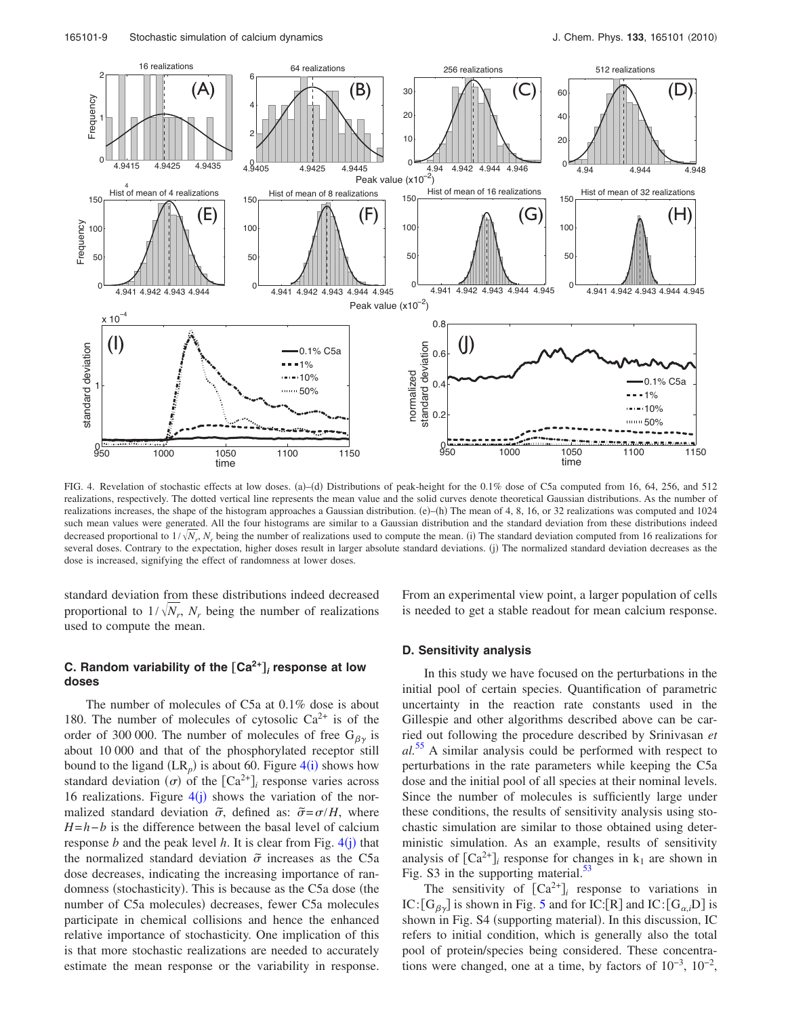<span id="page-8-0"></span>

FIG. 4. Revelation of stochastic effects at low doses. (a)–(d) Distributions of peak-height for the 0.1% dose of C5a computed from 16, 64, 256, and 512 realizations, respectively. The dotted vertical line represents the mean value and the solid curves denote theoretical Gaussian distributions. As the number of realizations increases, the shape of the histogram approaches a Gaussian distribution.  $(e)$ –(h) The mean of 4, 8, 16, or 32 realizations was computed and 1024 such mean values were generated. All the four histograms are similar to a Gaussian distribution and the standard deviation from these distributions indeed decreased proportional to  $1/\sqrt{N_r}$ ,  $N_r$  being the number of realizations used to compute the mean. (i) The standard deviation computed from 16 realizations for several doses. Contrary to the expectation, higher doses result in larger absolute standard deviations. (j) The normalized standard deviation decreases as the dose is increased, signifying the effect of randomness at lower doses.

standard deviation from these distributions indeed decreased proportional to  $1/\sqrt{N_r}$ ,  $N_r$  being the number of realizations used to compute the mean.

# **C. Random variability of the** †**Ca2+**‡**<sup>i</sup> response at low doses**

The number of molecules of C5a at 0.1% dose is about 180. The number of molecules of cytosolic  $Ca^{2+}$  is of the order of 300 000. The number of molecules of free  $G_{\beta\gamma}$  is about 10 000 and that of the phosphorylated receptor still bound to the ligand  $(LR_p)$  is about 60. Figure  $4(i)$  $4(i)$  shows how standard deviation  $(\sigma)$  of the  $\lceil Ca^{2+} \rceil$  response varies across 16 realizations. Figure  $4(j)$  $4(j)$  shows the variation of the normalized standard deviation  $\tilde{\sigma}$ , defined as:  $\tilde{\sigma} = \sigma/H$ , where *H*=*h*−*b* is the difference between the basal level of calcium response *b* and the peak level *h*. It is clear from Fig.  $4(i)$  $4(i)$  that the normalized standard deviation  $\tilde{\sigma}$  increases as the C5a dose decreases, indicating the increasing importance of randomness (stochasticity). This is because as the C5a dose (the number of C5a molecules) decreases, fewer C5a molecules participate in chemical collisions and hence the enhanced relative importance of stochasticity. One implication of this is that more stochastic realizations are needed to accurately estimate the mean response or the variability in response. From an experimental view point, a larger population of cells is needed to get a stable readout for mean calcium response.

# **D. Sensitivity analysis**

In this study we have focused on the perturbations in the initial pool of certain species. Quantification of parametric uncertainty in the reaction rate constants used in the Gillespie and other algorithms described above can be carried out following the procedure described by Srinivasan *et al.*[55](#page-15-51) A similar analysis could be performed with respect to perturbations in the rate parameters while keeping the C5a dose and the initial pool of all species at their nominal levels. Since the number of molecules is sufficiently large under these conditions, the results of sensitivity analysis using stochastic simulation are similar to those obtained using deterministic simulation. As an example, results of sensitivity analysis of  $[Ca^{2+}]$  response for changes in  $k_1$  are shown in Fig. S3 in the supporting material.<sup>53</sup>

The sensitivity of  $[Ca^{2+}]$ <sub>*i*</sub> response to variations in IC:  $[G_{\beta\gamma}]$  is shown in Fig. [5](#page-9-0) and for IC:  $[R]$  and IC:  $[G_{\alpha,i}D]$  is shown in Fig. S4 (supporting material). In this discussion, IC refers to initial condition, which is generally also the total pool of protein/species being considered. These concentrations were changed, one at a time, by factors of  $10^{-3}$ ,  $10^{-2}$ ,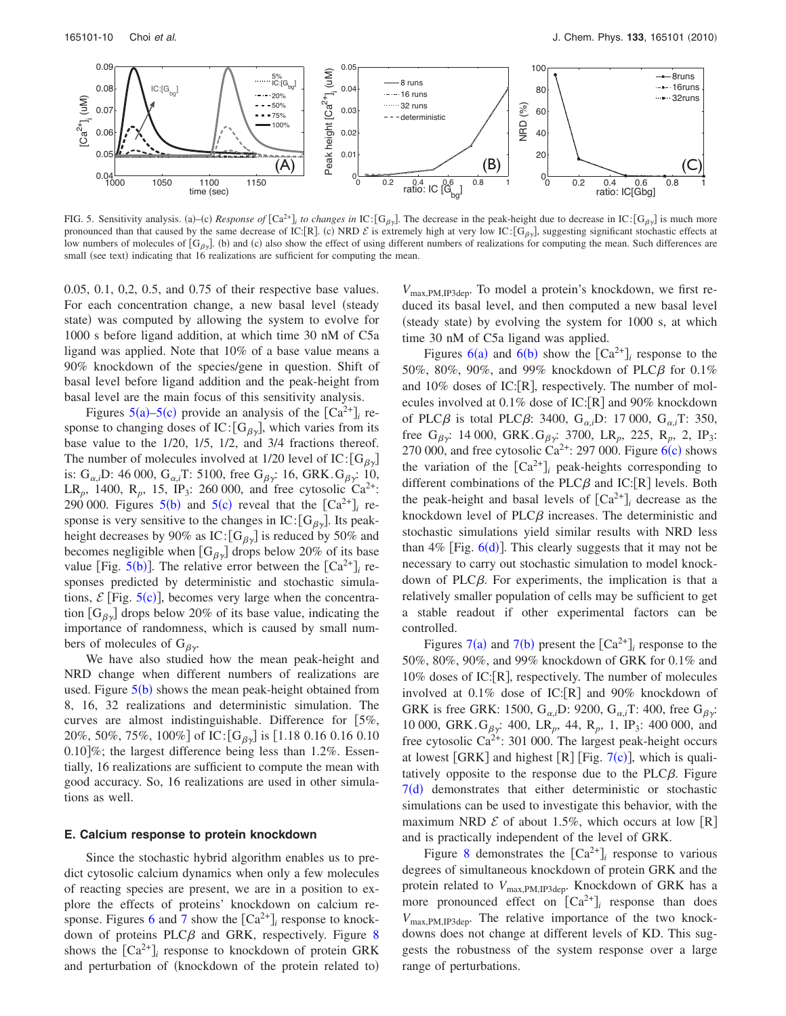<span id="page-9-0"></span>

FIG. 5. Sensitivity analysis. (a)–(c) *Response of*  $[Ca^{2+}]$  *to changes in* IC: $[G_{\beta\gamma}]$ . The decrease in the peak-height due to decrease in IC: $[G_{\beta\gamma}]$  is much more pronounced than that caused by the same decrease of IC:[R]. (c) NRD  $\mathcal{E}$  is extremely high at very low IC:[G<sub>βy</sub>], suggesting significant stochastic effects at low numbers of molecules of  $[G_{\beta\gamma}]$ . (b) and (c) also show the effect of using different numbers of realizations for computing the mean. Such differences are small (see text) indicating that 16 realizations are sufficient for computing the mean.

0.05, 0.1, 0,2, 0.5, and 0.75 of their respective base values. For each concentration change, a new basal level (steady state) was computed by allowing the system to evolve for 1000 s before ligand addition, at which time 30 nM of C5a ligand was applied. Note that 10% of a base value means a 90% knockdown of the species/gene in question. Shift of basal level before ligand addition and the peak-height from basal level are the main focus of this sensitivity analysis.

Figures  $5(a)$  $5(a)$ [–5](#page-9-0)(c) provide an analysis of the  $\left[Ca^{2+}\right]_i$  response to changing doses of IC:  $[G_{\beta\gamma}]$ , which varies from its base value to the 1/20, 1/5, 1/2, and 3/4 fractions thereof. The number of molecules involved at 1/20 level of IC:  $[G_{\beta\gamma}]$ is:  $G_{\alpha,i}$ D: 46 000,  $G_{\alpha,i}$ T: 5100, free  $G_{\beta\gamma}$ : 16, GRK. $G_{\beta\gamma}$ : 10, LR<sub>p</sub>, 1400, R<sub>p</sub>, 15, IP<sub>3</sub>: 260 000, and free cytosolic Ca<sup>2+</sup>: 290 000. Figures  $5(b)$  $5(b)$  and  $5(c)$  reveal that the  $[Ca^{2+}]\mathbf{r}$  response is very sensitive to the changes in IC:  $[G_{\beta\gamma}]$ . Its peakheight decreases by 90% as IC:  $[G_{\beta\gamma}]$  is reduced by 50% and becomes negligible when  $[G_{\beta\gamma}]$  drops below 20% of its base value  $[\text{Fig. 5(b)}]$  $[\text{Fig. 5(b)}]$  $[\text{Fig. 5(b)}]$ . The relative error between the  $[\text{Ca}^{2+}]$ <sub>*i*</sub> responses predicted by deterministic and stochastic simulations,  $\mathcal{E}$  [Fig. [5](#page-9-0)(c)], becomes very large when the concentration  $[G_{\beta\gamma}]$  drops below 20% of its base value, indicating the importance of randomness, which is caused by small numbers of molecules of  $G_{\beta\gamma}$ .

We have also studied how the mean peak-height and NRD change when different numbers of realizations are used. Figure  $5(b)$  $5(b)$  shows the mean peak-height obtained from 8, 16, 32 realizations and deterministic simulation. The curves are almost indistinguishable. Difference for  $[5\%,$ 20%, 50%, 75%, 100%] of IC:  $[G_{\beta\gamma}]$  is [1.18 0.16 0.16 0.10  $0.10\%$ ; the largest difference being less than 1.2%. Essentially, 16 realizations are sufficient to compute the mean with good accuracy. So, 16 realizations are used in other simulations as well.

#### **E. Calcium response to protein knockdown**

Since the stochastic hybrid algorithm enables us to predict cytosolic calcium dynamics when only a few molecules of reacting species are present, we are in a position to explore the effects of proteins' knockdown on calcium re-sponse. Figures [6](#page-10-0) and [7](#page-10-1) show the  $[Ca^{2+}]$ <sub>*i*</sub> response to knockdown of proteins PLC $\beta$  and GRK, respectively. Figure [8](#page-11-0) shows the  $[Ca^{2+}]$  response to knockdown of protein GRK and perturbation of (knockdown of the protein related to)

*V*max,PM,IP3dep. To model a protein's knockdown, we first reduced its basal level, and then computed a new basal level (steady state) by evolving the system for 1000 s, at which time 30 nM of C5a ligand was applied.

Figures  $6(a)$  $6(a)$  and  $6(b)$  show the  $[Ca^{2+}]\prime$  response to the 50%, 80%, 90%, and 99% knockdown of PLC $\beta$  for 0.1% and  $10\%$  doses of IC: [R], respectively. The number of molecules involved at  $0.1\%$  dose of IC: [R] and 90% knockdown of PLC $\beta$  is total PLC $\beta$ : 3400, G<sub> $\alpha$ *<sub>i</sub>*</sub>D: 17 000, G<sub> $\alpha$ *<sub>i</sub>*T: 350,</sub> free G<sub> $\beta$ y</sub>: 14 000, GRK.G<sub> $\beta$ y</sub>: 3700, LR<sub>p</sub>, 225, R<sub>p</sub>, 2, IP<sub>3</sub>: 270 000, and free cytosolic Ca<sup>2+</sup>: 297 000. Figure  $6(c)$  $6(c)$  shows the variation of the  $\left[\text{Ca}^{2+}\right]_i$  peak-heights corresponding to different combinations of the PLC $\beta$  and IC: [R] levels. Both the peak-height and basal levels of  $[Ca^{2+}]$  decrease as the knockdown level of  $PLC\beta$  increases. The deterministic and stochastic simulations yield similar results with NRD less than 4% [Fig.  $6(d)$  $6(d)$ ]. This clearly suggests that it may not be necessary to carry out stochastic simulation to model knockdown of PLC $\beta$ . For experiments, the implication is that a relatively smaller population of cells may be sufficient to get a stable readout if other experimental factors can be controlled.

Figures [7](#page-10-1)(a) and 7(b) present the  $\lceil Ca^{2+} \rceil$  response to the 50%, 80%, 90%, and 99% knockdown of GRK for 0.1% and  $10\%$  doses of IC:  $[R]$ , respectively. The number of molecules involved at  $0.1\%$  dose of IC: [R] and 90% knockdown of GRK is free GRK: 1500, G<sub> $\alpha$ ,*i*</sub>D: 9200, G<sub> $\alpha$ ,*i*T: 400, free G<sub> $\beta$ *y*</sub>:</sub> 10 000, GRK. $G_{\beta y}$ : 400, LR<sub>p</sub>, 44, R<sub>p</sub>, 1, IP<sub>3</sub>: 400 000, and free cytosolic  $Ca^{2+}$ : 301 000. The largest peak-height occurs at lowest  $\lceil GRK \rceil$  and highest  $\lceil R \rceil$   $\lceil Fig. 7(c) \rceil$  $\lceil Fig. 7(c) \rceil$  $\lceil Fig. 7(c) \rceil$ , which is qualitatively opposite to the response due to the PLC $\beta$ . Figure  $7(d)$  $7(d)$  demonstrates that either deterministic or stochastic simulations can be used to investigate this behavior, with the maximum NRD  $\mathcal E$  of about 1.5%, which occurs at low  $[R]$ and is practically independent of the level of GRK.

Figure [8](#page-11-0) demonstrates the  $[Ca^{2+}]$ <sub>*i*</sub> response to various degrees of simultaneous knockdown of protein GRK and the protein related to *V*max,PM,IP3dep. Knockdown of GRK has a more pronounced effect on  $[Ca^{2+}]$ <sub>*i*</sub> response than does *V*max,PM,IP3dep. The relative importance of the two knockdowns does not change at different levels of KD. This suggests the robustness of the system response over a large range of perturbations.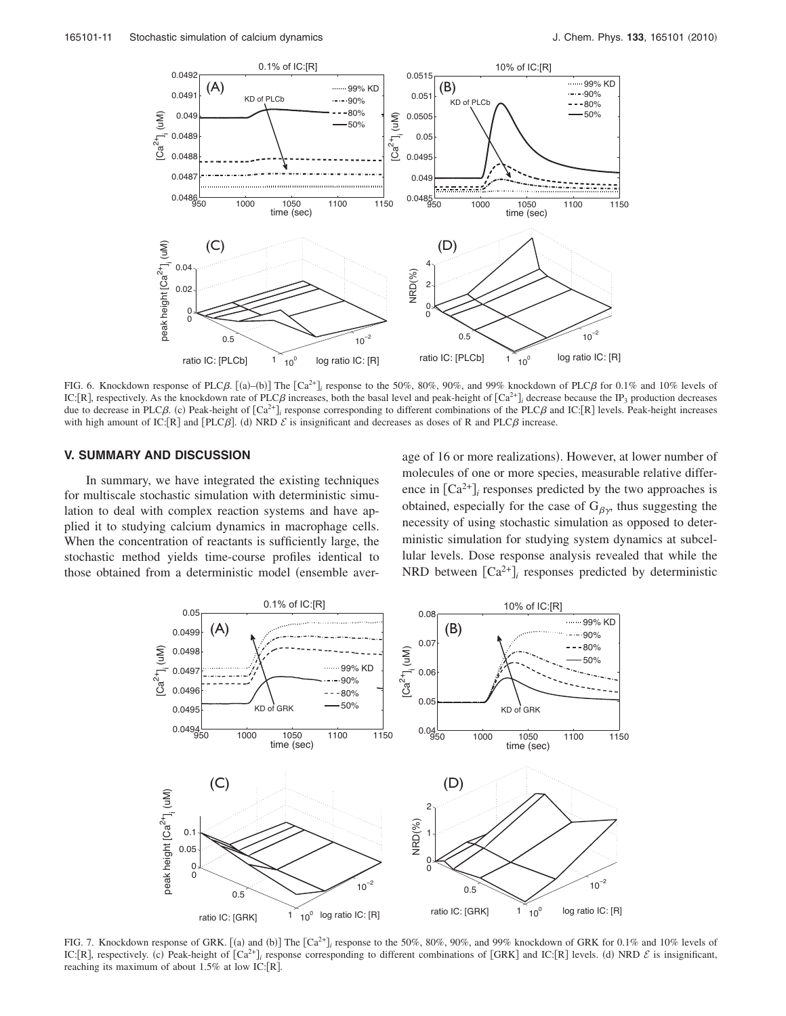<span id="page-10-0"></span>

FIG. 6. Knockdown response of PLC $\beta$ .  $[(a)-(b)]$  The  $[Ca^{2+}i]$  response to the 50%, 80%, 90%, and 99% knockdown of PLC $\beta$  for 0.1% and 10% levels of IC: [R], respectively. As the knockdown rate of PLC $\beta$  increases, both the basal level and peak-height of  $[Ca^{2+}]\prime$  decrease because the IP<sub>3</sub> production decreases due to decrease in PLC $\beta$ . (c) Peak-height of  $[Ca^{2+}j_i$  response corresponding to different combinations of the PLC $\beta$  and IC: $[R]$  levels. Peak-height increases with high amount of IC: [R] and [PLC $\beta$ ]. (d) NRD  $\mathcal E$  is insignificant and decreases as doses of R and PLC $\beta$  increase.

# **V. SUMMARY AND DISCUSSION**

In summary, we have integrated the existing techniques for multiscale stochastic simulation with deterministic simulation to deal with complex reaction systems and have applied it to studying calcium dynamics in macrophage cells. When the concentration of reactants is sufficiently large, the stochastic method yields time-course profiles identical to those obtained from a deterministic model (ensemble average of 16 or more realizations). However, at lower number of molecules of one or more species, measurable relative difference in  $[Ca^{2+}]$  responses predicted by the two approaches is obtained, especially for the case of  $G_{\beta\gamma}$ , thus suggesting the necessity of using stochastic simulation as opposed to deterministic simulation for studying system dynamics at subcellular levels. Dose response analysis revealed that while the NRD between  $[Ca^{2+}]$  responses predicted by deterministic

<span id="page-10-1"></span>

FIG. 7. Knockdown response of GRK.  $[(a)$  and  $(b)]$  The  $[Ca^{2+}j]$  response to the 50%, 80%, 90%, and 99% knockdown of GRK for 0.1% and 10% levels of IC: [R], respectively. (c) Peak-height of  $\lceil Ca^{2+} \rceil$ , response corresponding to different combinations of  $\lceil GRK \rceil$  and IC:  $\lceil R \rceil$  levels. (d) NRD  $\mathcal E$  is insignificant, reaching its maximum of about  $1.5\%$  at low IC: [R].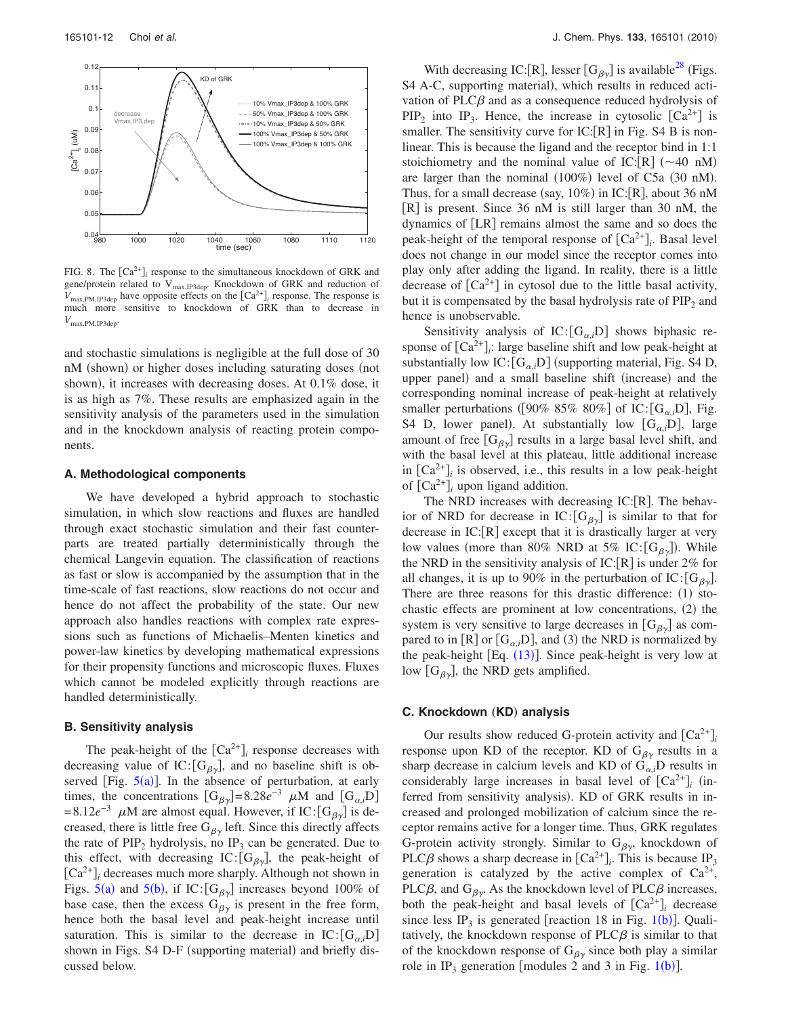<span id="page-11-0"></span>

FIG. 8. The  $\left[\text{Ca}^{2+}\right]_i$  response to the simultaneous knockdown of GRK and gene/protein related to V<sub>max,IP3dep</sub>. Knockdown of GRK and reduction of  $V_{\text{max,PM,IP3dep}}$  have opposite effects on the  $\left[\text{Ca}^{2+}\right]_i$  response. The response is much more sensitive to knockdown of GRK than to decrease in *V*max,PM,IP3dep.

and stochastic simulations is negligible at the full dose of 30 nM (shown) or higher doses including saturating doses (not shown), it increases with decreasing doses. At 0.1% dose, it is as high as 7%. These results are emphasized again in the sensitivity analysis of the parameters used in the simulation and in the knockdown analysis of reacting protein components.

#### **A. Methodological components**

We have developed a hybrid approach to stochastic simulation, in which slow reactions and fluxes are handled through exact stochastic simulation and their fast counterparts are treated partially deterministically through the chemical Langevin equation. The classification of reactions as fast or slow is accompanied by the assumption that in the time-scale of fast reactions, slow reactions do not occur and hence do not affect the probability of the state. Our new approach also handles reactions with complex rate expressions such as functions of Michaelis–Menten kinetics and power-law kinetics by developing mathematical expressions for their propensity functions and microscopic fluxes. Fluxes which cannot be modeled explicitly through reactions are handled deterministically.

# **B. Sensitivity analysis**

The peak-height of the  $[Ca^{2+}]$ <sub>*i*</sub> response decreases with decreasing value of IC:  $[G_{\beta\gamma}]$ , and no baseline shift is observed [Fig.  $5(a)$  $5(a)$ ]. In the absence of perturbation, at early times, the concentrations  $[G_{\beta\gamma}] = 8.28e^{-3} \mu M$  and  $[G_{\alpha,i}D]$  $= 8.12e^{-3}$   $\mu$ M are almost equal. However, if IC:  $[G_{\beta\gamma}]$  is decreased, there is little free  $G_{\beta\gamma}$  left. Since this directly affects the rate of  $\text{PIP}_2$  hydrolysis, no  $\text{IP}_3$  can be generated. Due to this effect, with decreasing IC:  $[G_{\beta\gamma}]$ , the peak-height of  $[Ca<sup>2+</sup>]$ <sub>*i*</sub> decreases much more sharply. Although not shown in Figs. [5](#page-9-0)(a) and 5(b), if IC:  $[G_{\beta\gamma}]$  increases beyond 100% of base case, then the excess  $G_{\beta\gamma}$  is present in the free form, hence both the basal level and peak-height increase until saturation. This is similar to the decrease in  $IC:[G_{\alpha,i}D]$ shown in Figs. S4 D-F (supporting material) and briefly discussed below.

With decreasing IC: [R], lesser  $[G_{\beta\gamma}]$  is available<sup>28</sup> (Figs. S4 A-C, supporting material), which results in reduced activation of PLC $\beta$  and as a consequence reduced hydrolysis of  $PIP_2$  into  $IP_3$ . Hence, the increase in cytosolic  $[Ca^{2+}]$  is smaller. The sensitivity curve for  $IC:[R]$  in Fig. S4 B is nonlinear. This is because the ligand and the receptor bind in 1:1 stoichiometry and the nominal value of IC:  $[R]$  (~40 nM) are larger than the nominal  $(100\%)$  level of C5a  $(30 \text{ nM})$ . Thus, for a small decrease (say,  $10\%$ ) in IC: [R], about 36 nM  $[R]$  is present. Since 36 nM is still larger than 30 nM, the dynamics of  $[LR]$  remains almost the same and so does the peak-height of the temporal response of  $[Ca^{2+}]_i$ . Basal level does not change in our model since the receptor comes into play only after adding the ligand. In reality, there is a little decrease of  $[Ca^{2+}]$  in cytosol due to the little basal activity, but it is compensated by the basal hydrolysis rate of  $PIP<sub>2</sub>$  and hence is unobservable.

Sensitivity analysis of  $IC: [G_{\alpha,i}]$  shows biphasic response of  $[Ca^{2+}]$ ; large baseline shift and low peak-height at substantially low  $IC: [G_{\alpha,i}]$  (supporting material, Fig. S4 D, upper panel) and a small baseline shift (increase) and the corresponding nominal increase of peak-height at relatively smaller perturbations ([90% 85% 80%] of IC: [G<sub> $\alpha,i$ </sub>D], Fig. S4 D, lower panel). At substantially low  $[G_{\alpha,i}D]$ , large amount of free  $[G_{\beta\gamma}]$  results in a large basal level shift, and with the basal level at this plateau, little additional increase in  $\left[Ca^{2+}\right]$  is observed, i.e., this results in a low peak-height of  $\lceil Ca^{2+} \rceil$  upon ligand addition.

The NRD increases with decreasing  $IC:[R]$ . The behavior of NRD for decrease in  $IC: [G_{\beta\gamma}]$  is similar to that for decrease in  $IC:[R]$  except that it is drastically larger at very low values (more than 80% NRD at 5% IC:  $[G_{\beta\gamma}]$ ). While the NRD in the sensitivity analysis of IC: $[R]$  is under 2% for all changes, it is up to 90% in the perturbation of IC:  $[G_{\beta_{\gamma}}]$ . There are three reasons for this drastic difference:  $(1)$  stochastic effects are prominent at low concentrations,  $(2)$  the system is very sensitive to large decreases in  $[G_{\beta\gamma}]$  as compared to in  $[R]$  or  $[G_{\alpha,i}D]$ , and (3) the NRD is normalized by the peak-height  $[Eq. (13)]$  $[Eq. (13)]$  $[Eq. (13)]$ . Since peak-height is very low at low  $[G_{\beta\gamma}]$ , the NRD gets amplified.

#### **C. Knockdown (KD) analysis**

Our results show reduced G-protein activity and  $[Ca^{2+}]$ <sub>*i*</sub> response upon KD of the receptor. KD of  $G_{\beta\gamma}$  results in a sharp decrease in calcium levels and KD of  $G_{\alpha,i}D$  results in considerably large increases in basal level of  $[Ca^{2+}]$ <sub>*i*</sub> (inferred from sensitivity analysis). KD of GRK results in increased and prolonged mobilization of calcium since the receptor remains active for a longer time. Thus, GRK regulates G-protein activity strongly. Similar to  $G_{\beta y}$ , knockdown of PLC $\beta$  shows a sharp decrease in  $[Ca^{2+}$ *<sub>i</sub>*. This is because IP<sub>3</sub> generation is catalyzed by the active complex of  $Ca^{2+}$ , PLC $\beta$ , and  $G_{\beta y}$ . As the knockdown level of PLC $\beta$  increases, both the peak-height and basal levels of  $[Ca^{2+}]$ <sub>*i*</sub> decrease since less IP<sub>3</sub> is generated  $[reaction 18 in Fig. 1(b)].$  $[reaction 18 in Fig. 1(b)].$  $[reaction 18 in Fig. 1(b)].$  Qualitatively, the knockdown response of  $PLC\beta$  is similar to that of the knockdown response of  $G_{\beta\gamma}$  since both play a similar role in IP<sub>3</sub> generation [modules 2 and 3 in Fig. [1](#page-1-0)(b)].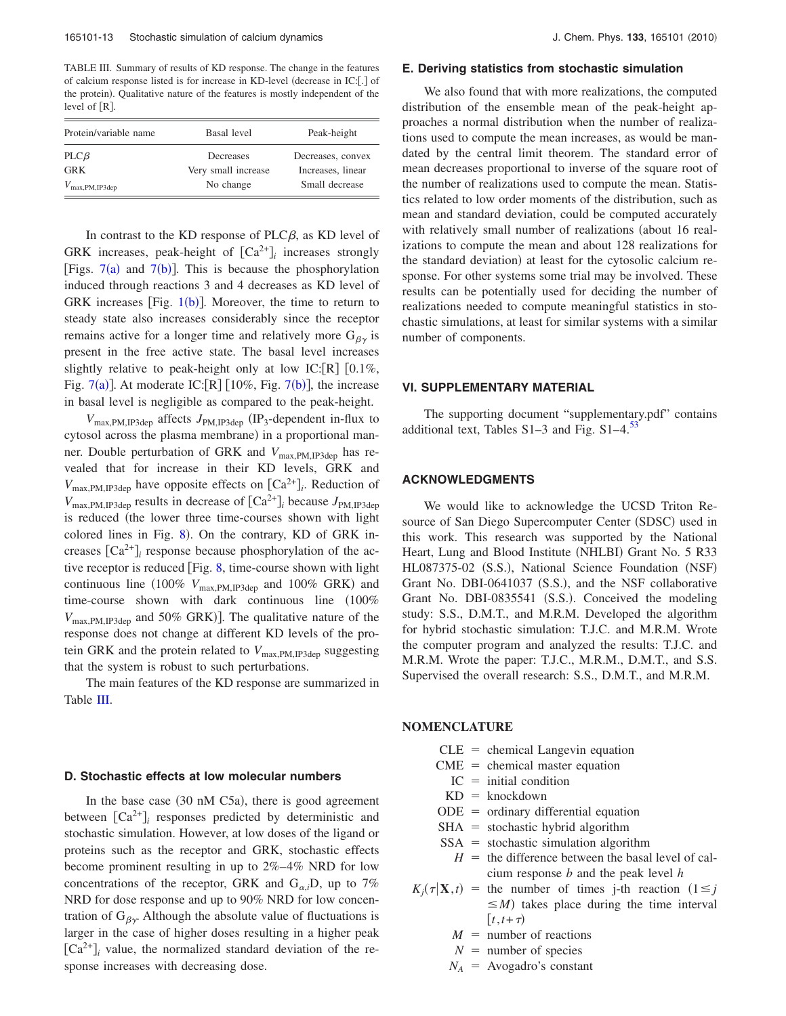<span id="page-12-0"></span>TABLE III. Summary of results of KD response. The change in the features of calcium response listed is for increase in KD-level (decrease in IC:[.] of the protein). Qualitative nature of the features is mostly independent of the level of  $[R]$ .

| Protein/variable name       | Basal level                      | Peak-height                            |
|-----------------------------|----------------------------------|----------------------------------------|
| $PLC\beta$<br><b>GRK</b>    | Decreases<br>Very small increase | Decreases, convex<br>Increases, linear |
| $V_{\text{max,PM, IP3dep}}$ | No change                        | Small decrease                         |

In contrast to the KD response of  $PLC\beta$ , as KD level of GRK increases, peak-height of  $[Ca^{2+}]\_i$  increases strongly [Figs.  $7(a)$  $7(a)$  and  $7(b)$  $7(b)$  $7(b)$ ]. This is because the phosphorylation induced through reactions 3 and 4 decreases as KD level of GRK increases [Fig.  $1(b)$  $1(b)$ ]. Moreover, the time to return to steady state also increases considerably since the receptor remains active for a longer time and relatively more  $G_{\beta\gamma}$  is present in the free active state. The basal level increases slightly relative to peak-height only at low IC: $[R]$   $[0.1\%,$ Fig. [7](#page-10-1)(a)]. At moderate IC:  $[R]$   $[10\%,$  Fig. 7(b)], the increase in basal level is negligible as compared to the peak-height.

 $V_{\text{max,PM,IP3dep}}$  affects  $J_{\text{PM,IP3dep}}$  (IP<sub>3</sub>-dependent in-flux to cytosol across the plasma membrane) in a proportional manner. Double perturbation of GRK and *V*max,PM,IP3dep has revealed that for increase in their KD levels, GRK and  $V_{\text{max,PM,IP3dep}}$  have opposite effects on  $\text{[Ca}^{2+}\text{]}_i$ . Reduction of  $V_{\text{max,PM,IP3dep}}$  results in decrease of  $\text{[Ca}^{2+}\text{]}$  because  $J_{\text{PM,IP3dep}}$ is reduced (the lower three time-courses shown with light colored lines in Fig.  $8$ ). On the contrary, KD of GRK increases  $[Ca^{2+}]$ <sub>*i*</sub> response because phosphorylation of the active receptor is reduced  $[Fig. 8, time-course shown with light]$  $[Fig. 8, time-course shown with light]$  $[Fig. 8, time-course shown with light]$ continuous line (100%  $V_{\text{max,PM,IP3dep}}$  and 100% GRK) and time-course shown with dark continuous line  $(100\%$  $V_{\text{max,PM,IP3dep}}$  and 50% GRK). The qualitative nature of the response does not change at different KD levels of the protein GRK and the protein related to  $V_{\text{max.PM,IP3den}}$  suggesting that the system is robust to such perturbations.

The main features of the KD response are summarized in Table [III.](#page-12-0)

#### **D. Stochastic effects at low molecular numbers**

In the base case  $(30 \text{ nM C5a})$ , there is good agreement between  $[Ca^{2+}]$ <sub>*i*</sub> responses predicted by deterministic and stochastic simulation. However, at low doses of the ligand or proteins such as the receptor and GRK, stochastic effects become prominent resulting in up to 2%–4% NRD for low concentrations of the receptor, GRK and  $G_{\alpha,i}D$ , up to 7% NRD for dose response and up to 90% NRD for low concentration of  $G_{\beta y}$ . Although the absolute value of fluctuations is larger in the case of higher doses resulting in a higher peak  $[Ca^{2+}]$ <sub>*i*</sub> value, the normalized standard deviation of the response increases with decreasing dose.

#### **E. Deriving statistics from stochastic simulation**

We also found that with more realizations, the computed distribution of the ensemble mean of the peak-height approaches a normal distribution when the number of realizations used to compute the mean increases, as would be mandated by the central limit theorem. The standard error of mean decreases proportional to inverse of the square root of the number of realizations used to compute the mean. Statistics related to low order moments of the distribution, such as mean and standard deviation, could be computed accurately with relatively small number of realizations (about 16 realizations to compute the mean and about 128 realizations for the standard deviation) at least for the cytosolic calcium response. For other systems some trial may be involved. These results can be potentially used for deciding the number of realizations needed to compute meaningful statistics in stochastic simulations, at least for similar systems with a similar number of components.

#### **VI. SUPPLEMENTARY MATERIAL**

The supporting document "supplementary.pdf" contains additional text, Tables  $S1-3$  and Fig.  $S1-4$ .<sup>53</sup>

## **ACKNOWLEDGMENTS**

We would like to acknowledge the UCSD Triton Resource of San Diego Supercomputer Center (SDSC) used in this work. This research was supported by the National Heart, Lung and Blood Institute (NHLBI) Grant No. 5 R33 HL087375-02 (S.S.), National Science Foundation (NSF) Grant No. DBI-0641037 (S.S.), and the NSF collaborative Grant No. DBI-0835541 (S.S.). Conceived the modeling study: S.S., D.M.T., and M.R.M. Developed the algorithm for hybrid stochastic simulation: T.J.C. and M.R.M. Wrote the computer program and analyzed the results: T.J.C. and M.R.M. Wrote the paper: T.J.C., M.R.M., D.M.T., and S.S. Supervised the overall research: S.S., D.M.T., and M.R.M.

#### **NOMENCLATURE**

- $CLE = chemical Langevin equation$
- $CME =$  chemical master equation
	- $IC = initial condition$
	- $KD =$  knockdown
- $ODE = ordinary differential equation$
- $SHA = stochastic hybrid algorithm$
- $SSA = stochastic simulation algorithm$ 
	- $H =$  the difference between the basal level of calcium response *b* and the peak level *h*
- $K_i(\tau|\mathbf{X},t)$  = the number of times j-th reaction  $(1 \leq j$  $\leq M$ ) takes place during the time interval  $[t, t+\tau)$ 
	- $M =$  number of reactions
	- $N =$  number of species
	- $N_A$  = Avogadro's constant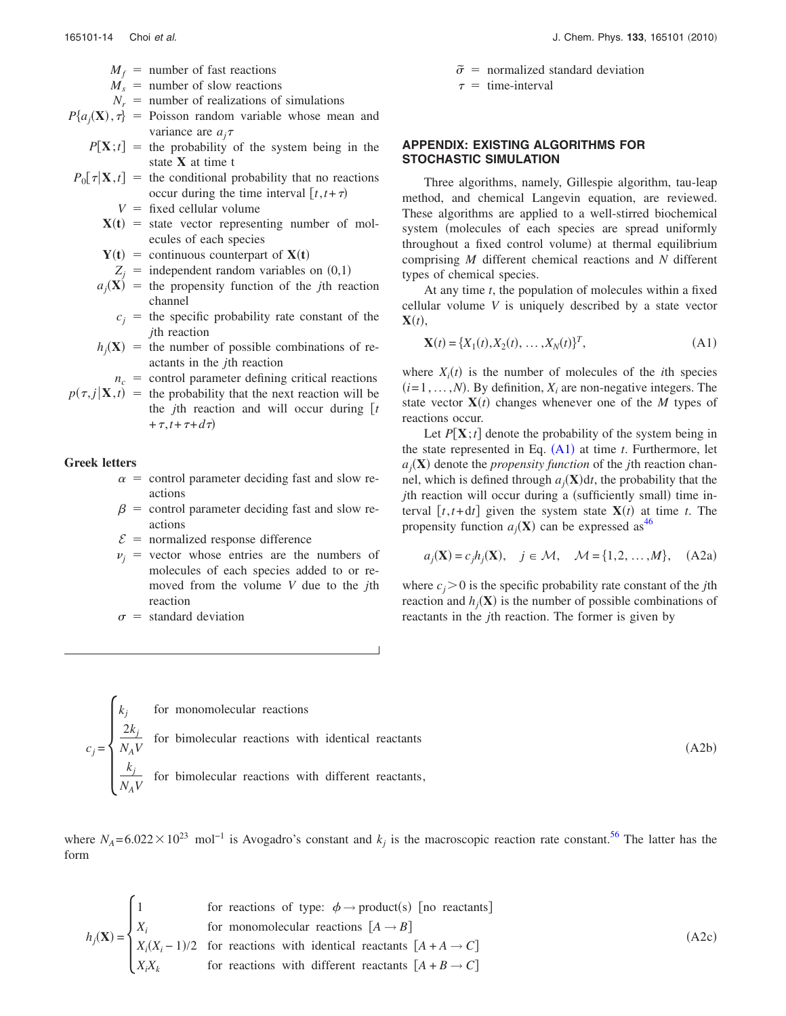- $M_f$  = number of fast reactions
- $M<sub>s</sub>$  = number of slow reactions
- $N_r$  = number of realizations of simulations

$$
P\{a_j(\mathbf{X}), \tau\}
$$
 = Poisson random variable whose mean and variance are  $a_j \tau$ 

- $P[\mathbf{X};t] =$  the probability of the system being in the state **X** at time t
- $P_0[\tau|\mathbf{X},t] =$  the conditional probability that no reactions occur during the time interval  $[t, t + \tau)$ 
	- $V =$  fixed cellular volume
	- $X(t)$  = state vector representing number of molecules of each species
	- $Y(t) =$  continuous counterpart of  $X(t)$
	- $Z_i$  = independent random variables on  $(0,1)$
	- $a_i(\mathbf{X})$  = the propensity function of the *j*th reaction channel
		- $c_i$  = the specific probability rate constant of the *j*th reaction
	- $h_i(\mathbf{X})$  = the number of possible combinations of reactants in the *j*th reaction
		- $n_c$  = control parameter defining critical reactions
- $p(\tau, j|\mathbf{X}, t)$  = the probability that the next reaction will be the *j*th reaction and will occur during  $\lceil t \rceil$ + $\tau$ ,*t*+ $\tau$ + $d\tau$ )

#### **Greek letters**

- $\alpha$  = control parameter deciding fast and slow reactions
- $\beta$  = control parameter deciding fast and slow reactions
- $\mathcal{E}$  = normalized response difference
- $v_i$  = vector whose entries are the numbers of molecules of each species added to or removed from the volume *V* due to the *j*th reaction
- $\sigma$  = standard deviation

$$
\tilde{\sigma} = \text{normalized standard deviation}
$$

 $\tau$  = time-interval

# **APPENDIX: EXISTING ALGORITHMS FOR STOCHASTIC SIMULATION**

Three algorithms, namely, Gillespie algorithm, tau-leap method, and chemical Langevin equation, are reviewed. These algorithms are applied to a well-stirred biochemical system (molecules of each species are spread uniformly throughout a fixed control volume) at thermal equilibrium comprising *M* different chemical reactions and *N* different types of chemical species.

At any time *t*, the population of molecules within a fixed cellular volume *V* is uniquely described by a state vector  $\mathbf{X}(t)$ ,

<span id="page-13-1"></span>
$$
\mathbf{X}(t) = \{X_1(t), X_2(t), \dots, X_N(t)\}^T,
$$
\n(A1)

where  $X_i(t)$  is the number of molecules of the *i*th species  $(i=1,\ldots,N)$ . By definition,  $X_i$  are non-negative integers. The state vector  $\mathbf{X}(t)$  changes whenever one of the *M* types of reactions occur.

Let  $P[X; t]$  denote the probability of the system being in the state represented in Eq.  $(A1)$  $(A1)$  $(A1)$  at time *t*. Furthermore, let  $a_j(\mathbf{X})$  denote the *propensity function* of the *j*th reaction channel, which is defined through  $a_i(\mathbf{X})dt$ , the probability that the *j*th reaction will occur during a (sufficiently small) time interval  $[t, t+dt]$  given the system state  $X(t)$  at time *t*. The propensity function  $a_i(\mathbf{X})$  can be expressed as<sup>46</sup>

<span id="page-13-0"></span>
$$
a_j(\mathbf{X}) = c_j h_j(\mathbf{X}), \quad j \in \mathcal{M}, \quad \mathcal{M} = \{1, 2, \dots, M\}, \quad \text{(A2a)}
$$

where  $c_j$  > 0 is the specific probability rate constant of the *j*th reaction and  $h_i$ **(X)** is the number of possible combinations of reactants in the *j*th reaction. The former is given by

$$
c_j = \begin{cases} k_j & \text{for monomolecular reactions} \\ \frac{2k_j}{N_A V} & \text{for bimolecular reactions with identical reactants} \\ \frac{k_j}{N_A V} & \text{for bimolecular reactions with different reactants,} \end{cases}
$$
 (A2b)

where  $N_A$ =6.022 × 10<sup>23</sup> mol<sup>-1</sup> is Avogadro's constant and  $k_j$  is the macroscopic reaction rate constant.<sup>56</sup> The latter has the form

$$
h_j(\mathbf{X}) = \begin{cases} 1 & \text{for reactions of type: } \phi \to \text{product(s) [no reactants]} \\ X_i & \text{for monomolecular reactions } [A \to B] \\ X_i(X_i - 1)/2 & \text{for reactions with identical reactants } [A + A \to C] \\ X_i X_k & \text{for reactions with different reactants } [A + B \to C] \end{cases} \tag{A2c}
$$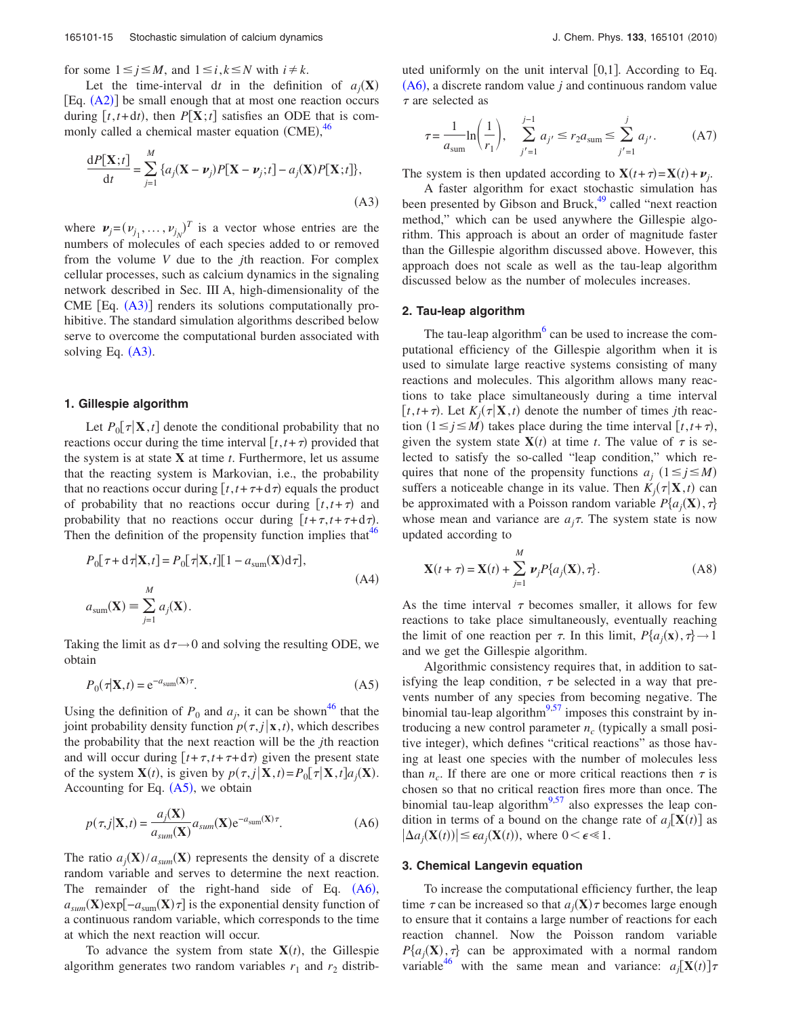for some  $1 \leq j \leq M$ , and  $1 \leq i, k \leq N$  with  $i \neq k$ .

Let the time-interval dt in the definition of  $a_i(\mathbf{X})$  $[Eq. (A2)]$  $[Eq. (A2)]$  $[Eq. (A2)]$  be small enough that at most one reaction occurs during  $[t, t+dt)$ , then  $P[X; t]$  satisfies an ODE that is com-monly called a chemical master equation (CME),<sup>[46](#page-15-42)</sup>

<span id="page-14-0"></span>
$$
\frac{\mathrm{d}P[\mathbf{X};t]}{\mathrm{d}t} = \sum_{j=1}^{M} \{a_j(\mathbf{X} - \boldsymbol{\nu}_j)P[\mathbf{X} - \boldsymbol{\nu}_j;t] - a_j(\mathbf{X})P[\mathbf{X};t]\},\tag{A3}
$$

where  $\mathbf{v}_j = (v_{j_1}, \dots, v_{j_N})^T$  is a vector whose entries are the numbers of molecules of each species added to or removed from the volume *V* due to the *j*th reaction. For complex cellular processes, such as calcium dynamics in the signaling network described in Sec. III A, high-dimensionality of the  $CME$   $[Eq. (A3)]$  $[Eq. (A3)]$  $[Eq. (A3)]$  renders its solutions computationally prohibitive. The standard simulation algorithms described below serve to overcome the computational burden associated with solving Eq.  $(A3)$  $(A3)$  $(A3)$ .

#### **1. Gillespie algorithm**

Let  $P_0[\tau|\mathbf{X},t]$  denote the conditional probability that no reactions occur during the time interval  $[t, t + \tau)$  provided that the system is at state **X** at time *t*. Furthermore, let us assume that the reacting system is Markovian, i.e., the probability that no reactions occur during  $[t, t + \tau + d\tau)$  equals the product of probability that no reactions occur during  $[t, t + \tau]$  and probability that no reactions occur during  $[t + \tau, t + \tau + d\tau)$ . Then the definition of the propensity function implies that  $46$ 

$$
P_0[\tau + d\tau | \mathbf{X}, t] = P_0[\tau | \mathbf{X}, t][1 - a_{\text{sum}}(\mathbf{X})d\tau],
$$
  
\n
$$
a_{\text{sum}}(\mathbf{X}) = \sum_{j=1}^{M} a_j(\mathbf{X}).
$$
\n(A4)

Taking the limit as  $d\tau \rightarrow 0$  and solving the resulting ODE, we obtain

$$
P_0(\tau|\mathbf{X},t) = e^{-a_{\text{sum}}(\mathbf{X})\tau}.\tag{A5}
$$

<span id="page-14-1"></span>Using the definition of  $P_0$  and  $a_j$ , it can be shown<sup>46</sup> that the joint probability density function  $p(\tau, j|\mathbf{x}, t)$ , which describes the probability that the next reaction will be the *j*th reaction and will occur during  $[t + \tau, t + \tau + d\tau)$  given the present state of the system  $\mathbf{X}(t)$ , is given by  $p(\tau, j | \mathbf{X}, t) = P_0[\tau | \mathbf{X}, t] a_j(\mathbf{X})$ . Accounting for Eq.  $(A5)$  $(A5)$  $(A5)$ , we obtain

<span id="page-14-2"></span>
$$
p(\tau, j | \mathbf{X}, t) = \frac{a_j(\mathbf{X})}{a_{sum}(\mathbf{X})} a_{sum}(\mathbf{X}) e^{-a_{sum}(\mathbf{X})\tau}.
$$
 (A6)

The ratio  $a_j(\mathbf{X})/a_{sum}(\mathbf{X})$  represents the density of a discrete random variable and serves to determine the next reaction. The remainder of the right-hand side of Eq.  $(A6)$  $(A6)$  $(A6)$ ,  $a_{sum}(\mathbf{X})$ exp $[-a_{sum}(\mathbf{X})\tau]$  is the exponential density function of a continuous random variable, which corresponds to the time at which the next reaction will occur.

To advance the system from state  $X(t)$ , the Gillespie algorithm generates two random variables  $r_1$  and  $r_2$  distributed uniformly on the unit interval  $[0,1]$ . According to Eq.  $(A6)$  $(A6)$  $(A6)$ , a discrete random value *j* and continuous random value  $\tau$  are selected as

$$
\tau = \frac{1}{a_{\text{sum}}} \ln \left( \frac{1}{r_1} \right), \quad \sum_{j'=1}^{j-1} a_{j'} \le r_2 a_{\text{sum}} \le \sum_{j'=1}^{j} a_{j'}.
$$
 (A7)

The system is then updated according to  $\mathbf{X}(t+\tau) = \mathbf{X}(t) + \mathbf{v}_i$ .

A faster algorithm for exact stochastic simulation has been presented by Gibson and Bruck,<sup>49</sup> called "next reaction method," which can be used anywhere the Gillespie algorithm. This approach is about an order of magnitude faster than the Gillespie algorithm discussed above. However, this approach does not scale as well as the tau-leap algorithm discussed below as the number of molecules increases.

## **2. Tau-leap algorithm**

The tau-leap algorithm $6$  can be used to increase the computational efficiency of the Gillespie algorithm when it is used to simulate large reactive systems consisting of many reactions and molecules. This algorithm allows many reactions to take place simultaneously during a time interval  $[t, t + \tau]$ . Let  $K_i(\tau | \mathbf{X}, t)$  denote the number of times *j*th reaction  $(1 \le j \le M)$  takes place during the time interval  $[t, t + \tau)$ , given the system state  $\mathbf{X}(t)$  at time *t*. The value of  $\tau$  is selected to satisfy the so-called "leap condition," which requires that none of the propensity functions  $a_i$  ( $1 \le j \le M$ ) suffers a noticeable change in its value. Then  $K_i(\tau|\mathbf{X},t)$  can be approximated with a Poisson random variable  $P\{a_i(\mathbf{X}), \tau\}$ whose mean and variance are  $a_i\tau$ . The system state is now updated according to

<span id="page-14-3"></span>
$$
\mathbf{X}(t+\tau) = \mathbf{X}(t) + \sum_{j=1}^{M} \nu_j P\{a_j(\mathbf{X}), \tau\}.
$$
 (A8)

As the time interval  $\tau$  becomes smaller, it allows for few reactions to take place simultaneously, eventually reaching the limit of one reaction per  $\tau$ . In this limit,  $P\{a_i(\mathbf{x}), \tau\} \rightarrow 1$ and we get the Gillespie algorithm.

Algorithmic consistency requires that, in addition to satisfying the leap condition,  $\tau$  be selected in a way that prevents number of any species from becoming negative. The binomial tau-leap algorithm $9,57$  $9,57$  imposes this constraint by introducing a new control parameter  $n_c$  (typically a small positive integer), which defines "critical reactions" as those having at least one species with the number of molecules less than  $n_c$ . If there are one or more critical reactions then  $\tau$  is chosen so that no critical reaction fires more than once. The binomial tau-leap algorithm $9.57$  $9.57$  also expresses the leap condition in terms of a bound on the change rate of  $a_i[\mathbf{X}(t)]$  as  $|\Delta a_i(\mathbf{X}(t))| \leq \epsilon a_i(\mathbf{X}(t))$ , where  $0 \leq \epsilon \leq 1$ .

#### **3. Chemical Langevin equation**

To increase the computational efficiency further, the leap time  $\tau$  can be increased so that  $a_j(\mathbf{X})\tau$  becomes large enough to ensure that it contains a large number of reactions for each reaction channel. Now the Poisson random variable  $P\{a_i(\mathbf{X}), \tau\}$  can be approximated with a normal random variable<sup>46</sup> with the same mean and variance:  $a_i[\mathbf{X}(t)]\tau$